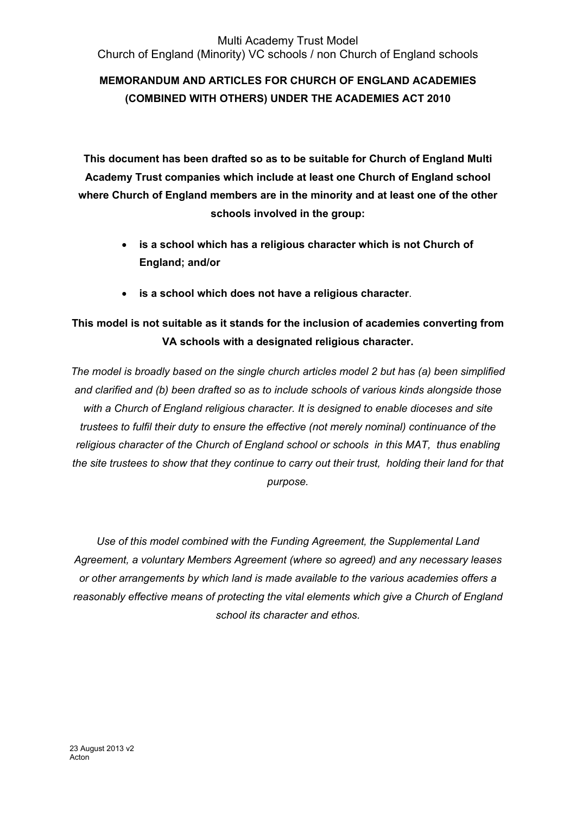# **MEMORANDUM AND ARTICLES FOR CHURCH OF ENGLAND ACADEMIES (COMBINED WITH OTHERS) UNDER THE ACADEMIES ACT 2010**

**This document has been drafted so as to be suitable for Church of England Multi Academy Trust companies which include at least one Church of England school where Church of England members are in the minority and at least one of the other schools involved in the group:**

- **is a school which has a religious character which is not Church of England; and/or**
- **is a school which does not have a religious character**.

# **This model is not suitable as it stands for the inclusion of academies converting from VA schools with a designated religious character.**

*The model is broadly based on the single church articles model 2 but has (a) been simplified and clarified and (b) been drafted so as to include schools of various kinds alongside those with a Church of England religious character. It is designed to enable dioceses and site trustees to fulfil their duty to ensure the effective (not merely nominal) continuance of the religious character of the Church of England school or schools in this MAT, thus enabling the site trustees to show that they continue to carry out their trust, holding their land for that purpose.*

*Use of this model combined with the Funding Agreement, the Supplemental Land Agreement, a voluntary Members Agreement (where so agreed) and any necessary leases or other arrangements by which land is made available to the various academies offers a reasonably effective means of protecting the vital elements which give a Church of England school its character and ethos.*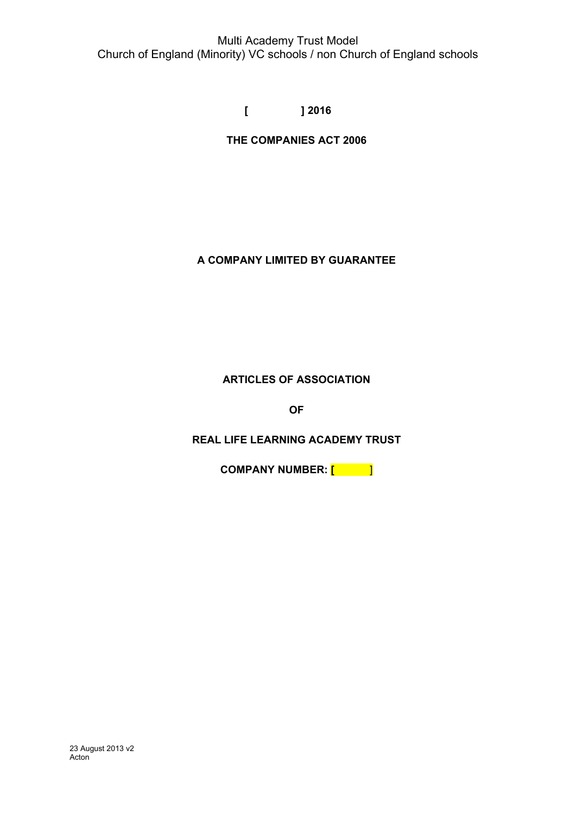**[ ] 2016**

**THE COMPANIES ACT 2006**

# **A COMPANY LIMITED BY GUARANTEE**

# **ARTICLES OF ASSOCIATION**

**OF**

# **REAL LIFE LEARNING ACADEMY TRUST**

**COMPANY NUMBER: [** ]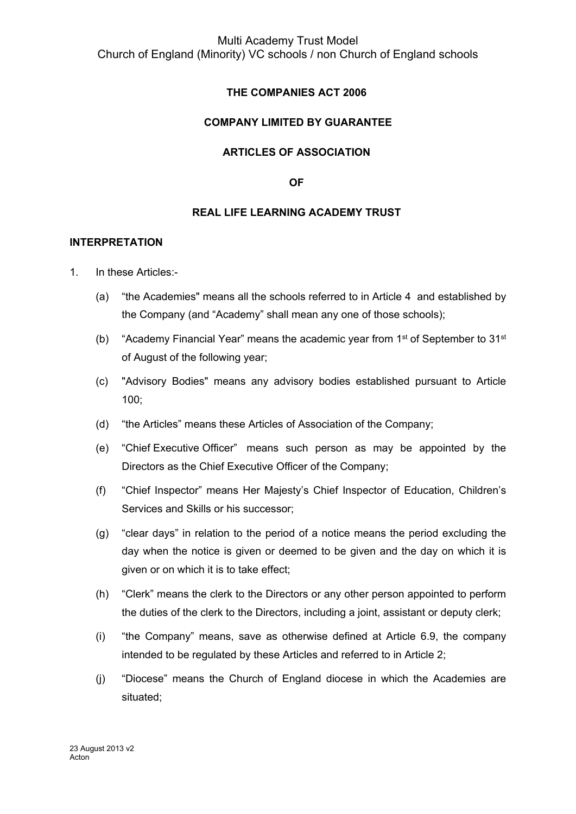# **THE COMPANIES ACT 2006**

#### **COMPANY LIMITED BY GUARANTEE**

#### **ARTICLES OF ASSOCIATION**

**OF**

#### **REAL LIFE LEARNING ACADEMY TRUST**

#### **INTERPRETATION**

- 1. In these Articles:-
	- (a) "the Academies" means all the schools referred to in Article 4 and established by the Company (and "Academy" shall mean any one of those schools);
	- (b) "Academy Financial Year" means the academic year from 1<sup>st</sup> of September to 31<sup>st</sup> of August of the following year;
	- (c) "Advisory Bodies" means any advisory bodies established pursuant to Article 100;
	- (d) "the Articles" means these Articles of Association of the Company;
	- (e) "Chief Executive Officer" means such person as may be appointed by the Directors as the Chief Executive Officer of the Company;
	- (f) "Chief Inspector" means Her Majesty's Chief Inspector of Education, Children's Services and Skills or his successor;
	- (g) "clear days" in relation to the period of a notice means the period excluding the day when the notice is given or deemed to be given and the day on which it is given or on which it is to take effect;
	- (h) "Clerk" means the clerk to the Directors or any other person appointed to perform the duties of the clerk to the Directors, including a joint, assistant or deputy clerk;
	- (i) "the Company" means, save as otherwise defined at Article 6.9, the company intended to be regulated by these Articles and referred to in Article 2;
	- (j) "Diocese" means the Church of England diocese in which the Academies are situated;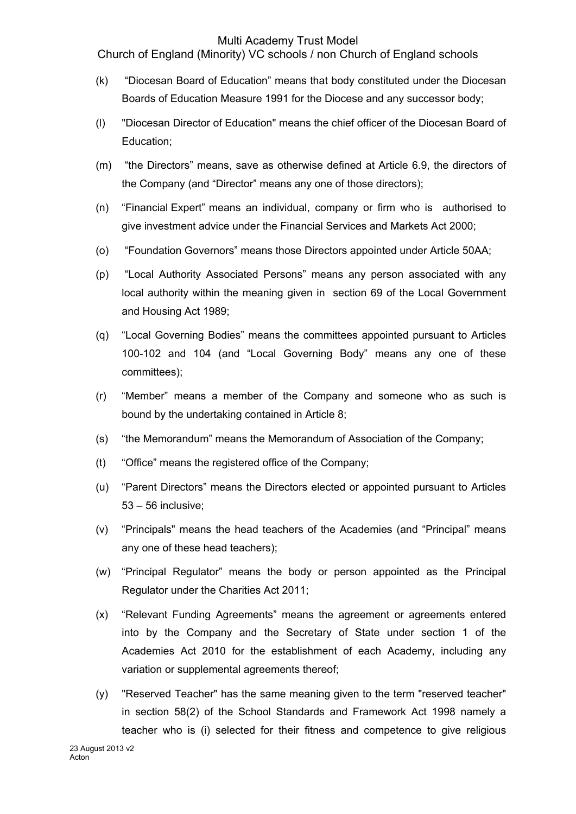Church of England (Minority) VC schools / non Church of England schools

- (k) "Diocesan Board of Education" means that body constituted under the Diocesan Boards of Education Measure 1991 for the Diocese and any successor body;
- (l) "Diocesan Director of Education" means the chief officer of the Diocesan Board of Education;
- (m) "the Directors" means, save as otherwise defined at Article 6.9, the directors of the Company (and "Director" means any one of those directors);
- (n) "Financial Expert" means an individual, company or firm who is authorised to give investment advice under the Financial Services and Markets Act 2000;
- (o) "Foundation Governors" means those Directors appointed under Article 50AA;
- (p) "Local Authority Associated Persons" means any person associated with any local authority within the meaning given in section 69 of the Local Government and Housing Act 1989;
- (q) "Local Governing Bodies" means the committees appointed pursuant to Articles 100-102 and 104 (and "Local Governing Body" means any one of these committees);
- (r) "Member" means a member of the Company and someone who as such is bound by the undertaking contained in Article 8;
- (s) "the Memorandum" means the Memorandum of Association of the Company;
- (t) "Office" means the registered office of the Company;
- (u) "Parent Directors" means the Directors elected or appointed pursuant to Articles 53 – 56 inclusive;
- (v) "Principals" means the head teachers of the Academies (and "Principal" means any one of these head teachers);
- (w) "Principal Regulator" means the body or person appointed as the Principal Regulator under the Charities Act 2011;
- (x) "Relevant Funding Agreements" means the agreement or agreements entered into by the Company and the Secretary of State under section 1 of the Academies Act 2010 for the establishment of each Academy, including any variation or supplemental agreements thereof;
- (y) "Reserved Teacher" has the same meaning given to the term "reserved teacher" in section 58(2) of the School Standards and Framework Act 1998 namely a teacher who is (i) selected for their fitness and competence to give religious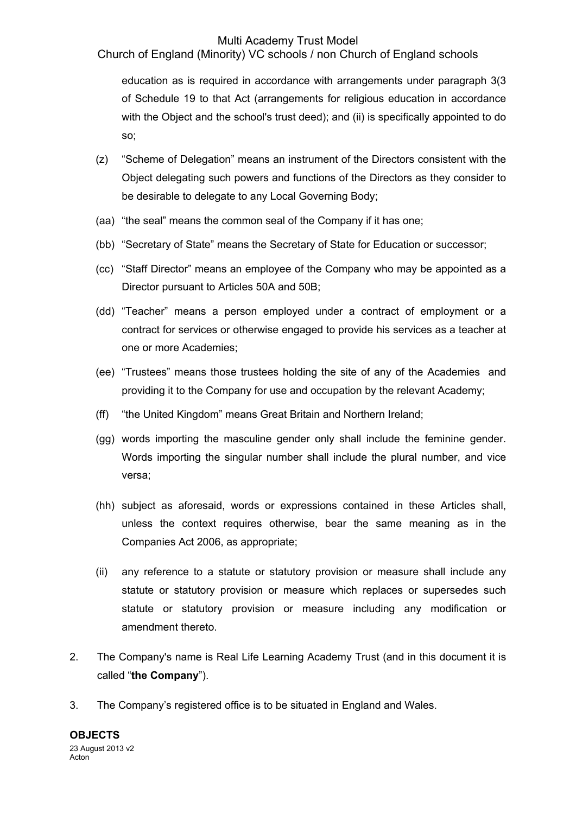Church of England (Minority) VC schools / non Church of England schools

education as is required in accordance with arrangements under paragraph 3(3 of Schedule 19 to that Act (arrangements for religious education in accordance with the Object and the school's trust deed); and (ii) is specifically appointed to do so;

- (z) "Scheme of Delegation" means an instrument of the Directors consistent with the Object delegating such powers and functions of the Directors as they consider to be desirable to delegate to any Local Governing Body;
- (aa) "the seal" means the common seal of the Company if it has one;
- (bb) "Secretary of State" means the Secretary of State for Education or successor;
- (cc) "Staff Director" means an employee of the Company who may be appointed as a Director pursuant to Articles 50A and 50B;
- (dd) "Teacher" means a person employed under a contract of employment or a contract for services or otherwise engaged to provide his services as a teacher at one or more Academies;
- (ee) "Trustees" means those trustees holding the site of any of the Academies and providing it to the Company for use and occupation by the relevant Academy;
- (ff) "the United Kingdom" means Great Britain and Northern Ireland;
- (gg) words importing the masculine gender only shall include the feminine gender. Words importing the singular number shall include the plural number, and vice versa;
- (hh) subject as aforesaid, words or expressions contained in these Articles shall, unless the context requires otherwise, bear the same meaning as in the Companies Act 2006, as appropriate;
- (ii) any reference to a statute or statutory provision or measure shall include any statute or statutory provision or measure which replaces or supersedes such statute or statutory provision or measure including any modification or amendment thereto.
- 2. The Company's name is Real Life Learning Academy Trust (and in this document it is called "**the Company**").
- 3. The Company's registered office is to be situated in England and Wales.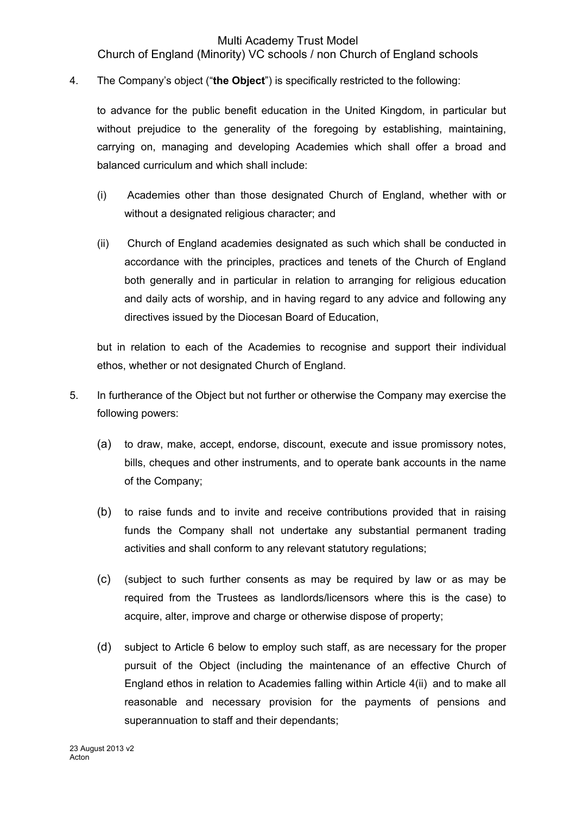Church of England (Minority) VC schools / non Church of England schools

4. The Company's object ("**the Object**") is specifically restricted to the following:

to advance for the public benefit education in the United Kingdom, in particular but without prejudice to the generality of the foregoing by establishing, maintaining, carrying on, managing and developing Academies which shall offer a broad and balanced curriculum and which shall include:

- (i) Academies other than those designated Church of England, whether with or without a designated religious character; and
- (ii) Church of England academies designated as such which shall be conducted in accordance with the principles, practices and tenets of the Church of England both generally and in particular in relation to arranging for religious education and daily acts of worship, and in having regard to any advice and following any directives issued by the Diocesan Board of Education,

but in relation to each of the Academies to recognise and support their individual ethos, whether or not designated Church of England.

- 5. In furtherance of the Object but not further or otherwise the Company may exercise the following powers:
	- (a) to draw, make, accept, endorse, discount, execute and issue promissory notes, bills, cheques and other instruments, and to operate bank accounts in the name of the Company;
	- (b) to raise funds and to invite and receive contributions provided that in raising funds the Company shall not undertake any substantial permanent trading activities and shall conform to any relevant statutory regulations;
	- (c) (subject to such further consents as may be required by law or as may be required from the Trustees as landlords/licensors where this is the case) to acquire, alter, improve and charge or otherwise dispose of property;
	- (d) subject to Article 6 below to employ such staff, as are necessary for the proper pursuit of the Object (including the maintenance of an effective Church of England ethos in relation to Academies falling within Article 4(ii) and to make all reasonable and necessary provision for the payments of pensions and superannuation to staff and their dependants;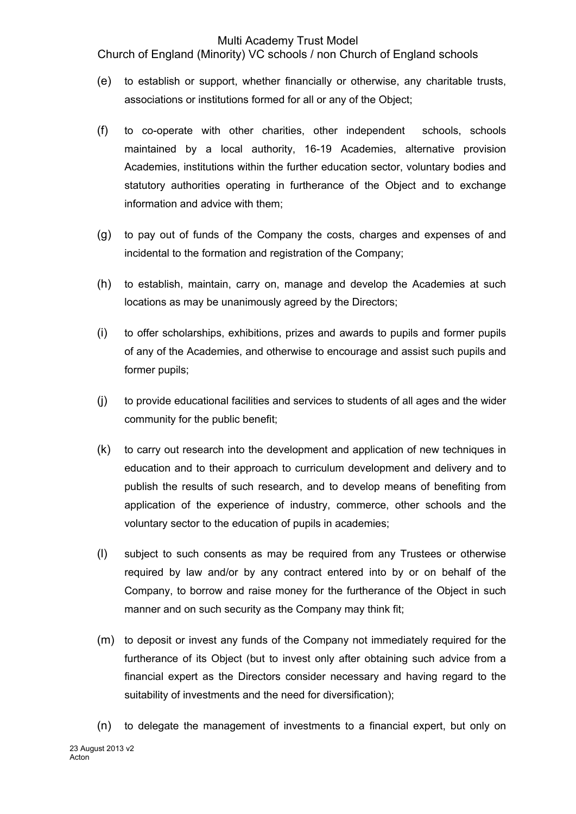Church of England (Minority) VC schools / non Church of England schools

- (e) to establish or support, whether financially or otherwise, any charitable trusts, associations or institutions formed for all or any of the Object;
- (f) to co-operate with other charities, other independent schools, schools maintained by a local authority, 16-19 Academies, alternative provision Academies, institutions within the further education sector, voluntary bodies and statutory authorities operating in furtherance of the Object and to exchange information and advice with them;
- (g) to pay out of funds of the Company the costs, charges and expenses of and incidental to the formation and registration of the Company;
- (h) to establish, maintain, carry on, manage and develop the Academies at such locations as may be unanimously agreed by the Directors;
- (i) to offer scholarships, exhibitions, prizes and awards to pupils and former pupils of any of the Academies, and otherwise to encourage and assist such pupils and former pupils;
- (j) to provide educational facilities and services to students of all ages and the wider community for the public benefit;
- (k) to carry out research into the development and application of new techniques in education and to their approach to curriculum development and delivery and to publish the results of such research, and to develop means of benefiting from application of the experience of industry, commerce, other schools and the voluntary sector to the education of pupils in academies;
- (l) subject to such consents as may be required from any Trustees or otherwise required by law and/or by any contract entered into by or on behalf of the Company, to borrow and raise money for the furtherance of the Object in such manner and on such security as the Company may think fit;
- (m) to deposit or invest any funds of the Company not immediately required for the furtherance of its Object (but to invest only after obtaining such advice from a financial expert as the Directors consider necessary and having regard to the suitability of investments and the need for diversification);
- (n) to delegate the management of investments to a financial expert, but only on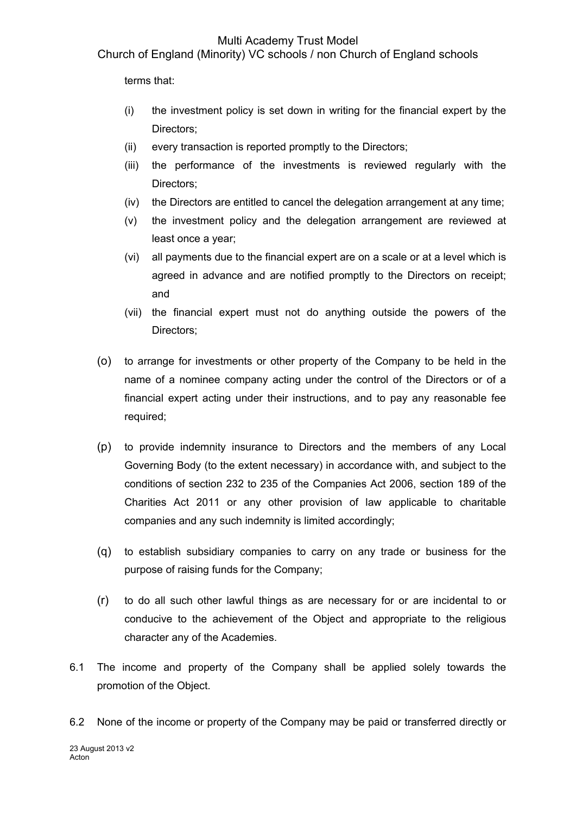Church of England (Minority) VC schools / non Church of England schools

terms that:

- (i) the investment policy is set down in writing for the financial expert by the Directors;
- (ii) every transaction is reported promptly to the Directors;
- (iii) the performance of the investments is reviewed regularly with the Directors;
- (iv) the Directors are entitled to cancel the delegation arrangement at any time;
- (v) the investment policy and the delegation arrangement are reviewed at least once a year;
- (vi) all payments due to the financial expert are on a scale or at a level which is agreed in advance and are notified promptly to the Directors on receipt; and
- (vii) the financial expert must not do anything outside the powers of the Directors;
- (o) to arrange for investments or other property of the Company to be held in the name of a nominee company acting under the control of the Directors or of a financial expert acting under their instructions, and to pay any reasonable fee required;
- (p) to provide indemnity insurance to Directors and the members of any Local Governing Body (to the extent necessary) in accordance with, and subject to the conditions of section 232 to 235 of the Companies Act 2006, section 189 of the Charities Act 2011 or any other provision of law applicable to charitable companies and any such indemnity is limited accordingly;
- (q) to establish subsidiary companies to carry on any trade or business for the purpose of raising funds for the Company;
- (r) to do all such other lawful things as are necessary for or are incidental to or conducive to the achievement of the Object and appropriate to the religious character any of the Academies.
- 6.1 The income and property of the Company shall be applied solely towards the promotion of the Object.
- 6.2 None of the income or property of the Company may be paid or transferred directly or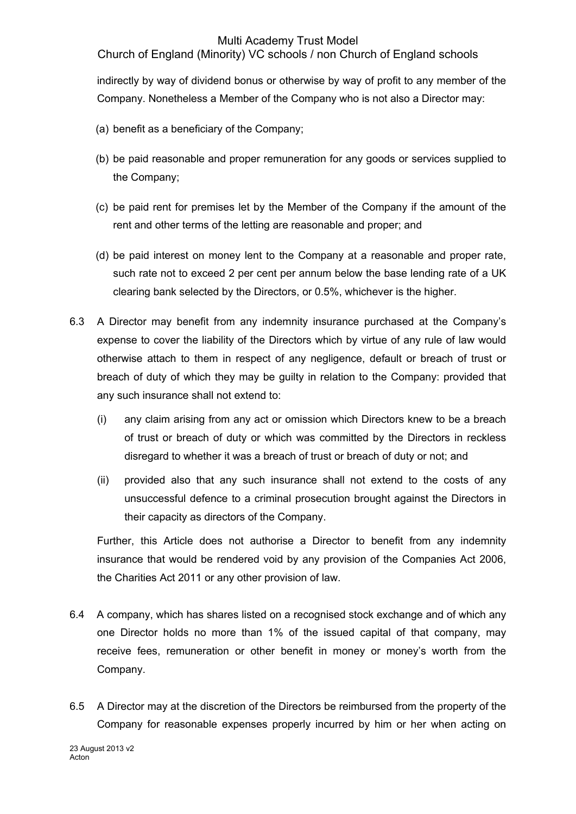Church of England (Minority) VC schools / non Church of England schools

indirectly by way of dividend bonus or otherwise by way of profit to any member of the Company. Nonetheless a Member of the Company who is not also a Director may:

- (a) benefit as a beneficiary of the Company;
- (b) be paid reasonable and proper remuneration for any goods or services supplied to the Company;
- (c) be paid rent for premises let by the Member of the Company if the amount of the rent and other terms of the letting are reasonable and proper; and
- (d) be paid interest on money lent to the Company at a reasonable and proper rate, such rate not to exceed 2 per cent per annum below the base lending rate of a UK clearing bank selected by the Directors, or 0.5%, whichever is the higher.
- 6.3 A Director may benefit from any indemnity insurance purchased at the Company's expense to cover the liability of the Directors which by virtue of any rule of law would otherwise attach to them in respect of any negligence, default or breach of trust or breach of duty of which they may be guilty in relation to the Company: provided that any such insurance shall not extend to:
	- (i) any claim arising from any act or omission which Directors knew to be a breach of trust or breach of duty or which was committed by the Directors in reckless disregard to whether it was a breach of trust or breach of duty or not; and
	- (ii) provided also that any such insurance shall not extend to the costs of any unsuccessful defence to a criminal prosecution brought against the Directors in their capacity as directors of the Company.

Further, this Article does not authorise a Director to benefit from any indemnity insurance that would be rendered void by any provision of the Companies Act 2006, the Charities Act 2011 or any other provision of law.

- 6.4 A company, which has shares listed on a recognised stock exchange and of which any one Director holds no more than 1% of the issued capital of that company, may receive fees, remuneration or other benefit in money or money's worth from the Company.
- 6.5 A Director may at the discretion of the Directors be reimbursed from the property of the Company for reasonable expenses properly incurred by him or her when acting on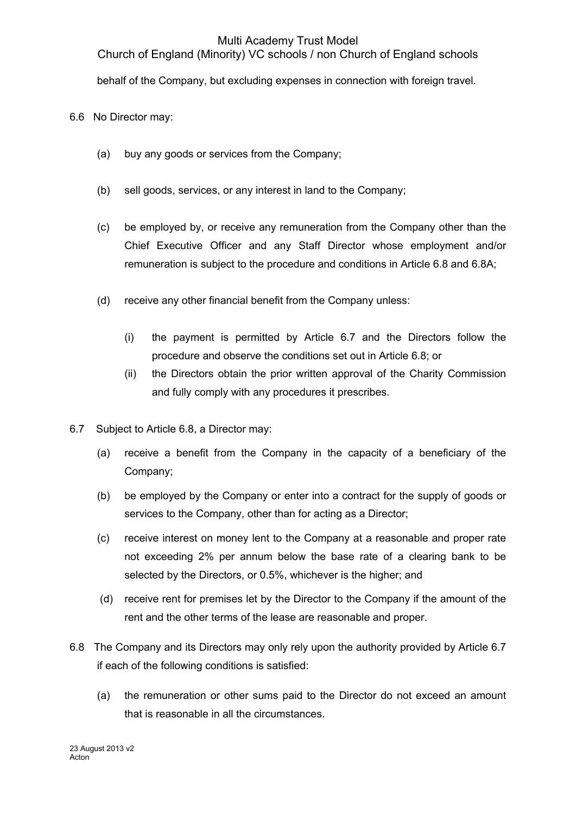Church of England (Minority) VC schools / non Church of England schools

behalf of the Company, but excluding expenses in connection with foreign travel.

6.6 No Director may:

- (a) buy any goods or services from the Company;
- (b) sell goods, services, or any interest in land to the Company;
- (c) be employed by, or receive any remuneration from the Company other than the Chief Executive Officer and any Staff Director whose employment and/or remuneration is subject to the procedure and conditions in Article 6.8 and 6.8A;
- (d) receive any other financial benefit from the Company unless:
	- (i) the payment is permitted by Article 6.7 and the Directors follow the procedure and observe the conditions set out in Article 6.8; or
	- (ii) the Directors obtain the prior written approval of the Charity Commission and fully comply with any procedures it prescribes.
- 6.7 Subject to Article 6.8, a Director may:
	- (a) receive a benefit from the Company in the capacity of a beneficiary of the Company;
	- (b) be employed by the Company or enter into a contract for the supply of goods or services to the Company, other than for acting as a Director;
	- (c) receive interest on money lent to the Company at a reasonable and proper rate not exceeding 2% per annum below the base rate of a clearing bank to be selected by the Directors, or 0.5%, whichever is the higher; and
	- (d) receive rent for premises let by the Director to the Company if the amount of the rent and the other terms of the lease are reasonable and proper.
- 6.8 The Company and its Directors may only rely upon the authority provided by Article 6.7 if each of the following conditions is satisfied:
	- (a) the remuneration or other sums paid to the Director do not exceed an amount that is reasonable in all the circumstances.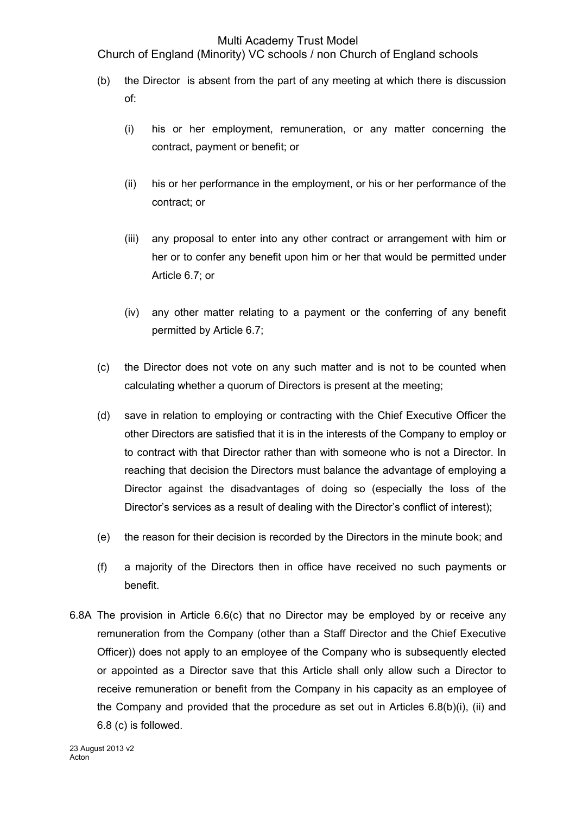Church of England (Minority) VC schools / non Church of England schools

- (b) the Director is absent from the part of any meeting at which there is discussion of:
	- (i) his or her employment, remuneration, or any matter concerning the contract, payment or benefit; or
	- (ii) his or her performance in the employment, or his or her performance of the contract; or
	- (iii) any proposal to enter into any other contract or arrangement with him or her or to confer any benefit upon him or her that would be permitted under Article 6.7; or
	- (iv) any other matter relating to a payment or the conferring of any benefit permitted by Article 6.7;
- (c) the Director does not vote on any such matter and is not to be counted when calculating whether a quorum of Directors is present at the meeting;
- (d) save in relation to employing or contracting with the Chief Executive Officer the other Directors are satisfied that it is in the interests of the Company to employ or to contract with that Director rather than with someone who is not a Director. In reaching that decision the Directors must balance the advantage of employing a Director against the disadvantages of doing so (especially the loss of the Director's services as a result of dealing with the Director's conflict of interest);
- (e) the reason for their decision is recorded by the Directors in the minute book; and
- (f) a majority of the Directors then in office have received no such payments or benefit.
- 6.8A The provision in Article 6.6(c) that no Director may be employed by or receive any remuneration from the Company (other than a Staff Director and the Chief Executive Officer)) does not apply to an employee of the Company who is subsequently elected or appointed as a Director save that this Article shall only allow such a Director to receive remuneration or benefit from the Company in his capacity as an employee of the Company and provided that the procedure as set out in Articles  $6.8(b)(i)$ , (ii) and 6.8 (c) is followed.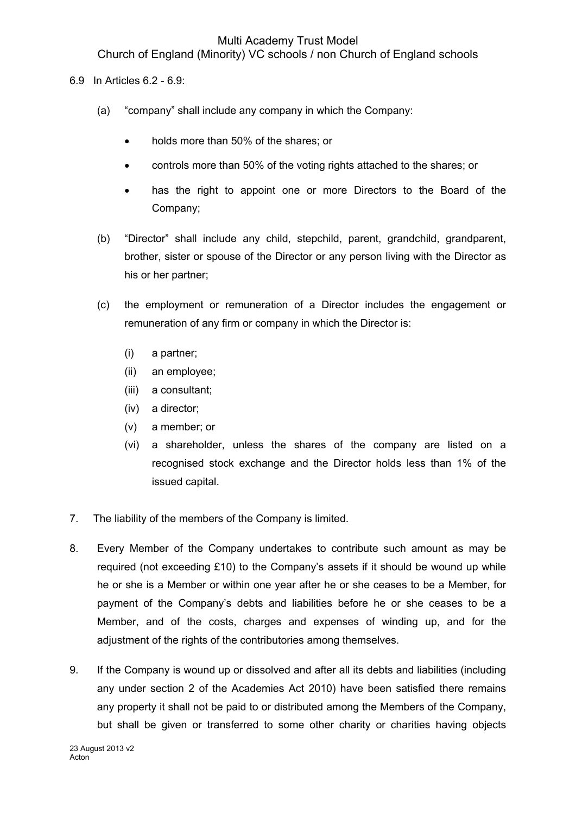Church of England (Minority) VC schools / non Church of England schools

- 6.9 In Articles 6.2 6.9:
	- (a) "company" shall include any company in which the Company:
		- holds more than 50% of the shares; or
		- controls more than 50% of the voting rights attached to the shares; or
		- has the right to appoint one or more Directors to the Board of the Company;
	- (b) "Director" shall include any child, stepchild, parent, grandchild, grandparent, brother, sister or spouse of the Director or any person living with the Director as his or her partner;
	- (c) the employment or remuneration of a Director includes the engagement or remuneration of any firm or company in which the Director is:
		- (i) a partner;
		- (ii) an employee;
		- (iii) a consultant;
		- (iv) a director;
		- (v) a member; or
		- (vi) a shareholder, unless the shares of the company are listed on a recognised stock exchange and the Director holds less than 1% of the issued capital.
- 7. The liability of the members of the Company is limited.
- 8. Every Member of the Company undertakes to contribute such amount as may be required (not exceeding £10) to the Company's assets if it should be wound up while he or she is a Member or within one year after he or she ceases to be a Member, for payment of the Company's debts and liabilities before he or she ceases to be a Member, and of the costs, charges and expenses of winding up, and for the adjustment of the rights of the contributories among themselves.
- 9. If the Company is wound up or dissolved and after all its debts and liabilities (including any under section 2 of the Academies Act 2010) have been satisfied there remains any property it shall not be paid to or distributed among the Members of the Company, but shall be given or transferred to some other charity or charities having objects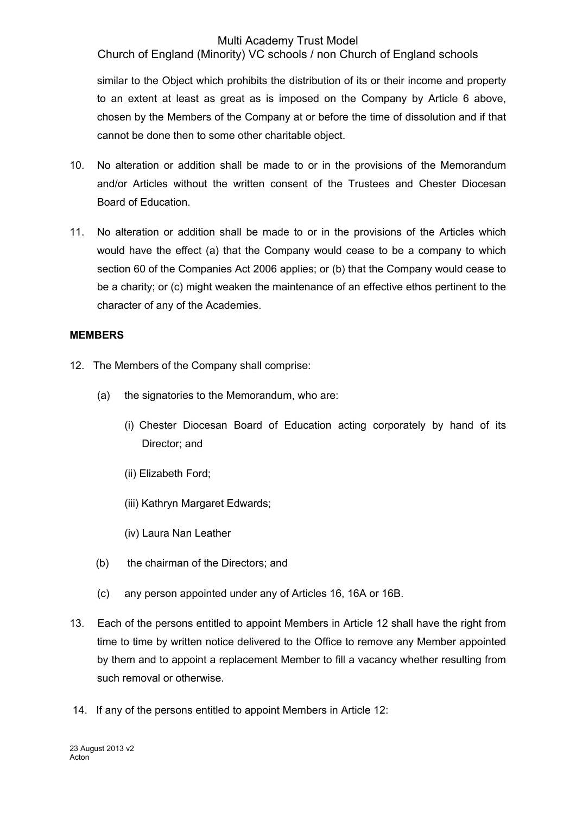Church of England (Minority) VC schools / non Church of England schools

similar to the Object which prohibits the distribution of its or their income and property to an extent at least as great as is imposed on the Company by Article 6 above, chosen by the Members of the Company at or before the time of dissolution and if that cannot be done then to some other charitable object.

- 10. No alteration or addition shall be made to or in the provisions of the Memorandum and/or Articles without the written consent of the Trustees and Chester Diocesan Board of Education.
- 11. No alteration or addition shall be made to or in the provisions of the Articles which would have the effect (a) that the Company would cease to be a company to which section 60 of the Companies Act 2006 applies; or (b) that the Company would cease to be a charity; or (c) might weaken the maintenance of an effective ethos pertinent to the character of any of the Academies.

#### **MEMBERS**

- 12. The Members of the Company shall comprise:
	- (a) the signatories to the Memorandum, who are:
		- (i) Chester Diocesan Board of Education acting corporately by hand of its Director; and
		- (ii) Elizabeth Ford;
		- (iii) Kathryn Margaret Edwards;
		- (iv) Laura Nan Leather
	- (b) the chairman of the Directors; and
	- (c) any person appointed under any of Articles 16, 16A or 16B.
- 13. Each of the persons entitled to appoint Members in Article 12 shall have the right from time to time by written notice delivered to the Office to remove any Member appointed by them and to appoint a replacement Member to fill a vacancy whether resulting from such removal or otherwise.
- 14. If any of the persons entitled to appoint Members in Article 12: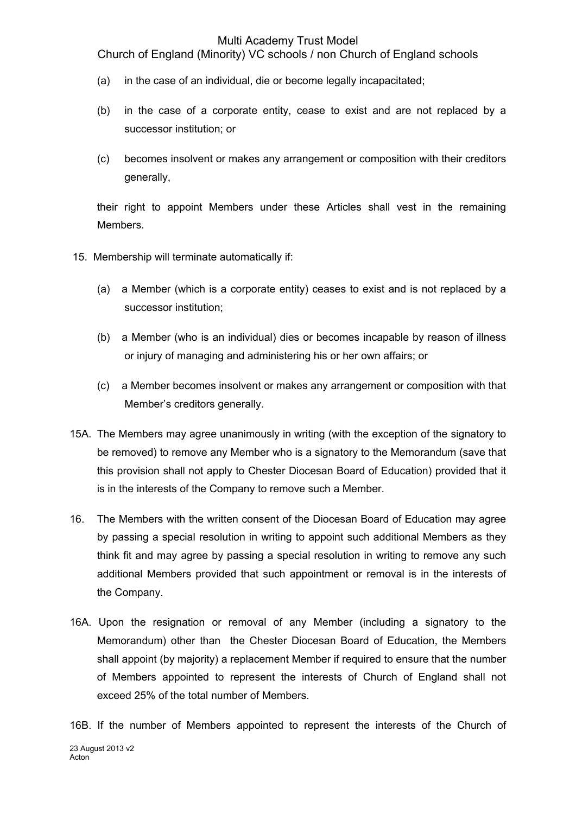Church of England (Minority) VC schools / non Church of England schools

- (a) in the case of an individual, die or become legally incapacitated;
- (b) in the case of a corporate entity, cease to exist and are not replaced by a successor institution; or
- (c) becomes insolvent or makes any arrangement or composition with their creditors generally,

their right to appoint Members under these Articles shall vest in the remaining Members.

- 15. Membership will terminate automatically if:
	- (a) a Member (which is a corporate entity) ceases to exist and is not replaced by a successor institution;
	- (b) a Member (who is an individual) dies or becomes incapable by reason of illness or injury of managing and administering his or her own affairs; or
	- (c) a Member becomes insolvent or makes any arrangement or composition with that Member's creditors generally.
- 15A. The Members may agree unanimously in writing (with the exception of the signatory to be removed) to remove any Member who is a signatory to the Memorandum (save that this provision shall not apply to Chester Diocesan Board of Education) provided that it is in the interests of the Company to remove such a Member.
- 16. The Members with the written consent of the Diocesan Board of Education may agree by passing a special resolution in writing to appoint such additional Members as they think fit and may agree by passing a special resolution in writing to remove any such additional Members provided that such appointment or removal is in the interests of the Company.
- 16A. Upon the resignation or removal of any Member (including a signatory to the Memorandum) other than the Chester Diocesan Board of Education, the Members shall appoint (by majority) a replacement Member if required to ensure that the number of Members appointed to represent the interests of Church of England shall not exceed 25% of the total number of Members.

23 August 2013 v2 Acton<sup>1</sup> 16B. If the number of Members appointed to represent the interests of the Church of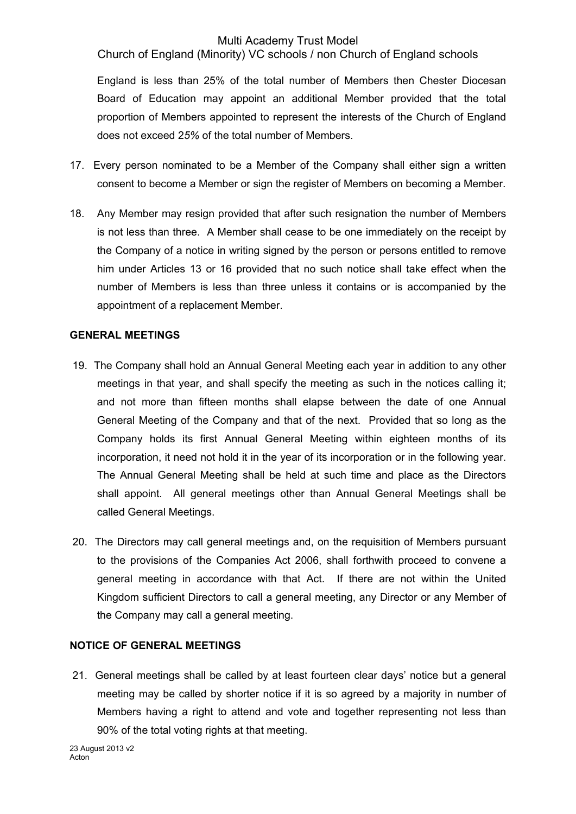Church of England (Minority) VC schools / non Church of England schools

England is less than 25% of the total number of Members then Chester Diocesan Board of Education may appoint an additional Member provided that the total proportion of Members appointed to represent the interests of the Church of England does not exceed 2*5%* of the total number of Members.

- 17. Every person nominated to be a Member of the Company shall either sign a written consent to become a Member or sign the register of Members on becoming a Member.
- 18. Any Member may resign provided that after such resignation the number of Members is not less than three. A Member shall cease to be one immediately on the receipt by the Company of a notice in writing signed by the person or persons entitled to remove him under Articles 13 or 16 provided that no such notice shall take effect when the number of Members is less than three unless it contains or is accompanied by the appointment of a replacement Member.

#### **GENERAL MEETINGS**

- 19. The Company shall hold an Annual General Meeting each year in addition to any other meetings in that year, and shall specify the meeting as such in the notices calling it; and not more than fifteen months shall elapse between the date of one Annual General Meeting of the Company and that of the next. Provided that so long as the Company holds its first Annual General Meeting within eighteen months of its incorporation, it need not hold it in the year of its incorporation or in the following year. The Annual General Meeting shall be held at such time and place as the Directors shall appoint. All general meetings other than Annual General Meetings shall be called General Meetings.
- 20. The Directors may call general meetings and, on the requisition of Members pursuant to the provisions of the Companies Act 2006, shall forthwith proceed to convene a general meeting in accordance with that Act. If there are not within the United Kingdom sufficient Directors to call a general meeting, any Director or any Member of the Company may call a general meeting.

# **NOTICE OF GENERAL MEETINGS**

21. General meetings shall be called by at least fourteen clear days' notice but a general meeting may be called by shorter notice if it is so agreed by a majority in number of Members having a right to attend and vote and together representing not less than 90% of the total voting rights at that meeting.

23 August 2013 v2 Acton<sup>1</sup>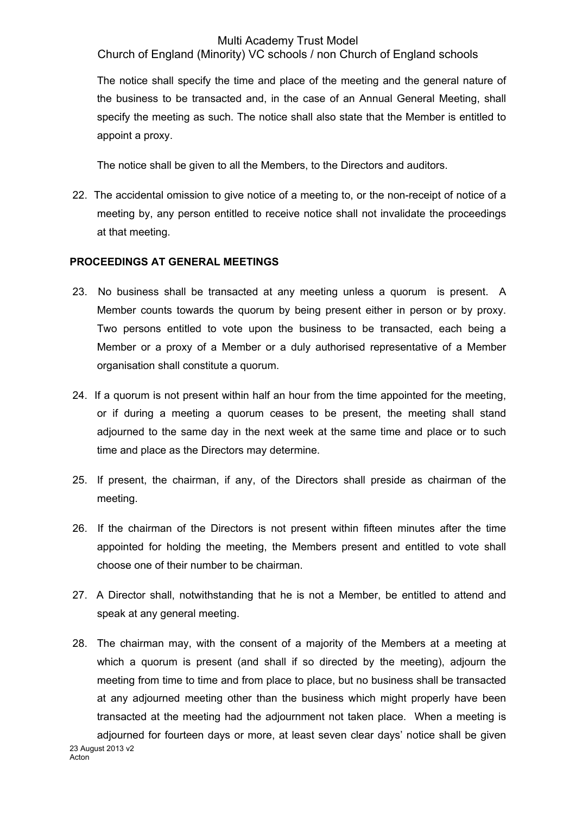Church of England (Minority) VC schools / non Church of England schools

The notice shall specify the time and place of the meeting and the general nature of the business to be transacted and, in the case of an Annual General Meeting, shall specify the meeting as such. The notice shall also state that the Member is entitled to appoint a proxy.

The notice shall be given to all the Members, to the Directors and auditors.

22. The accidental omission to give notice of a meeting to, or the non-receipt of notice of a meeting by, any person entitled to receive notice shall not invalidate the proceedings at that meeting.

#### **PROCEEDINGS AT GENERAL MEETINGS**

- 23. No business shall be transacted at any meeting unless a quorum is present. A Member counts towards the quorum by being present either in person or by proxy. Two persons entitled to vote upon the business to be transacted, each being a Member or a proxy of a Member or a duly authorised representative of a Member organisation shall constitute a quorum.
- 24. If a quorum is not present within half an hour from the time appointed for the meeting, or if during a meeting a quorum ceases to be present, the meeting shall stand adjourned to the same day in the next week at the same time and place or to such time and place as the Directors may determine.
- 25. If present, the chairman, if any, of the Directors shall preside as chairman of the meeting.
- 26. If the chairman of the Directors is not present within fifteen minutes after the time appointed for holding the meeting, the Members present and entitled to vote shall choose one of their number to be chairman.
- 27. A Director shall, notwithstanding that he is not a Member, be entitled to attend and speak at any general meeting.
- 23 August 2013 v2 28. The chairman may, with the consent of a majority of the Members at a meeting at which a quorum is present (and shall if so directed by the meeting), adjourn the meeting from time to time and from place to place, but no business shall be transacted at any adjourned meeting other than the business which might properly have been transacted at the meeting had the adjournment not taken place. When a meeting is adjourned for fourteen days or more, at least seven clear days' notice shall be given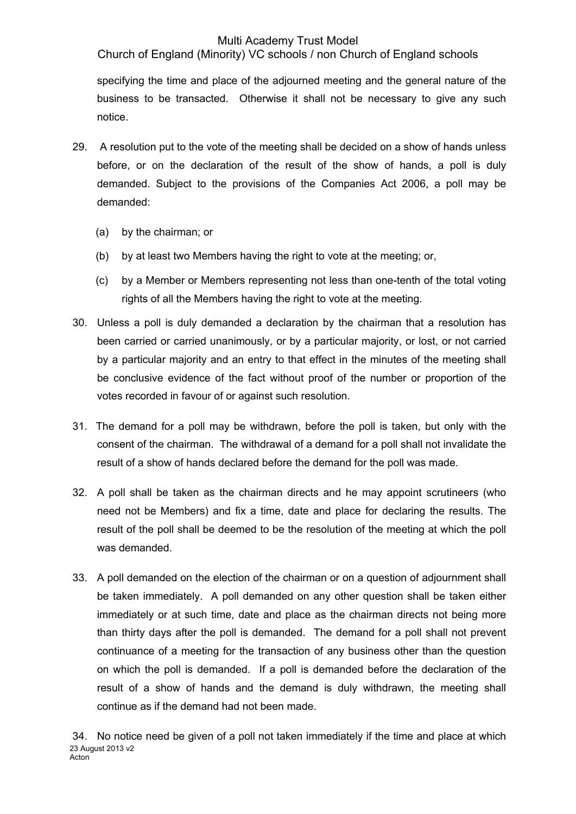Church of England (Minority) VC schools / non Church of England schools

specifying the time and place of the adjourned meeting and the general nature of the business to be transacted. Otherwise it shall not be necessary to give any such notice.

- 29. A resolution put to the vote of the meeting shall be decided on a show of hands unless before, or on the declaration of the result of the show of hands, a poll is duly demanded. Subject to the provisions of the Companies Act 2006, a poll may be demanded:
	- (a) by the chairman; or
	- (b) by at least two Members having the right to vote at the meeting; or,
	- (c) by a Member or Members representing not less than one-tenth of the total voting rights of all the Members having the right to vote at the meeting.
- 30. Unless a poll is duly demanded a declaration by the chairman that a resolution has been carried or carried unanimously, or by a particular majority, or lost, or not carried by a particular majority and an entry to that effect in the minutes of the meeting shall be conclusive evidence of the fact without proof of the number or proportion of the votes recorded in favour of or against such resolution.
- 31. The demand for a poll may be withdrawn, before the poll is taken, but only with the consent of the chairman. The withdrawal of a demand for a poll shall not invalidate the result of a show of hands declared before the demand for the poll was made.
- 32. A poll shall be taken as the chairman directs and he may appoint scrutineers (who need not be Members) and fix a time, date and place for declaring the results. The result of the poll shall be deemed to be the resolution of the meeting at which the poll was demanded.
- 33. A poll demanded on the election of the chairman or on a question of adjournment shall be taken immediately. A poll demanded on any other question shall be taken either immediately or at such time, date and place as the chairman directs not being more than thirty days after the poll is demanded. The demand for a poll shall not prevent continuance of a meeting for the transaction of any business other than the question on which the poll is demanded. If a poll is demanded before the declaration of the result of a show of hands and the demand is duly withdrawn, the meeting shall continue as if the demand had not been made.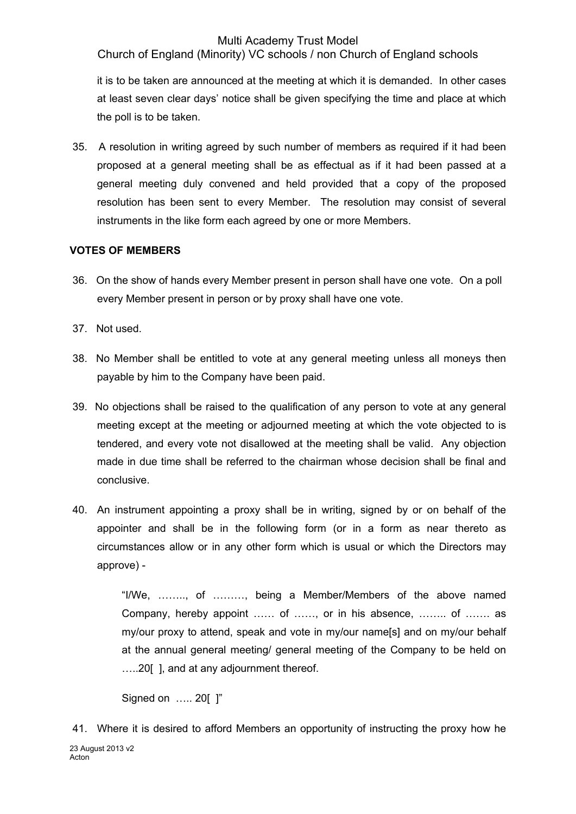Church of England (Minority) VC schools / non Church of England schools

it is to be taken are announced at the meeting at which it is demanded. In other cases at least seven clear days' notice shall be given specifying the time and place at which the poll is to be taken.

35. A resolution in writing agreed by such number of members as required if it had been proposed at a general meeting shall be as effectual as if it had been passed at a general meeting duly convened and held provided that a copy of the proposed resolution has been sent to every Member. The resolution may consist of several instruments in the like form each agreed by one or more Members.

# **VOTES OF MEMBERS**

- 36. On the show of hands every Member present in person shall have one vote. On a poll every Member present in person or by proxy shall have one vote.
- 37. Not used.
- 38. No Member shall be entitled to vote at any general meeting unless all moneys then payable by him to the Company have been paid.
- 39. No objections shall be raised to the qualification of any person to vote at any general meeting except at the meeting or adjourned meeting at which the vote objected to is tendered, and every vote not disallowed at the meeting shall be valid. Any objection made in due time shall be referred to the chairman whose decision shall be final and conclusive.
- 40. An instrument appointing a proxy shall be in writing, signed by or on behalf of the appointer and shall be in the following form (or in a form as near thereto as circumstances allow or in any other form which is usual or which the Directors may approve) -

"I/We, …….., of ………, being a Member/Members of the above named Company, hereby appoint …… of ……, or in his absence, …….. of ……. as my/our proxy to attend, speak and vote in my/our name[s] and on my/our behalf at the annual general meeting/ general meeting of the Company to be held on …..20[ ], and at any adjournment thereof.

Signed on ….. 20[ ]"

<sup>23</sup> August 2013 v2 Acton<sup>1</sup> 41. Where it is desired to afford Members an opportunity of instructing the proxy how he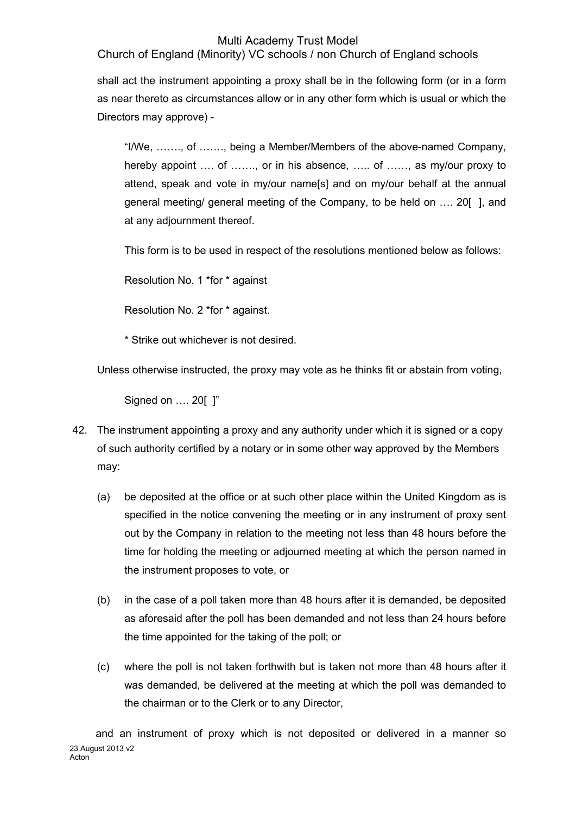Church of England (Minority) VC schools / non Church of England schools

shall act the instrument appointing a proxy shall be in the following form (or in a form as near thereto as circumstances allow or in any other form which is usual or which the Directors may approve) -

"I/We, ……., of ……., being a Member/Members of the above-named Company, hereby appoint .... of ........ or in his absence, ..... of ....... as my/our proxy to attend, speak and vote in my/our name[s] and on my/our behalf at the annual general meeting/ general meeting of the Company, to be held on …. 20[ ], and at any adjournment thereof.

This form is to be used in respect of the resolutions mentioned below as follows:

Resolution No. 1 \*for \* against

Resolution No. 2 \*for \* against.

\* Strike out whichever is not desired.

Unless otherwise instructed, the proxy may vote as he thinks fit or abstain from voting,

Signed on …. 20[ ]"

- 42. The instrument appointing a proxy and any authority under which it is signed or a copy of such authority certified by a notary or in some other way approved by the Members may:
	- (a) be deposited at the office or at such other place within the United Kingdom as is specified in the notice convening the meeting or in any instrument of proxy sent out by the Company in relation to the meeting not less than 48 hours before the time for holding the meeting or adjourned meeting at which the person named in the instrument proposes to vote, or
	- (b) in the case of a poll taken more than 48 hours after it is demanded, be deposited as aforesaid after the poll has been demanded and not less than 24 hours before the time appointed for the taking of the poll; or
	- (c) where the poll is not taken forthwith but is taken not more than 48 hours after it was demanded, be delivered at the meeting at which the poll was demanded to the chairman or to the Clerk or to any Director,

23 August 2013 v2 Acton and an instrument of proxy which is not deposited or delivered in a manner so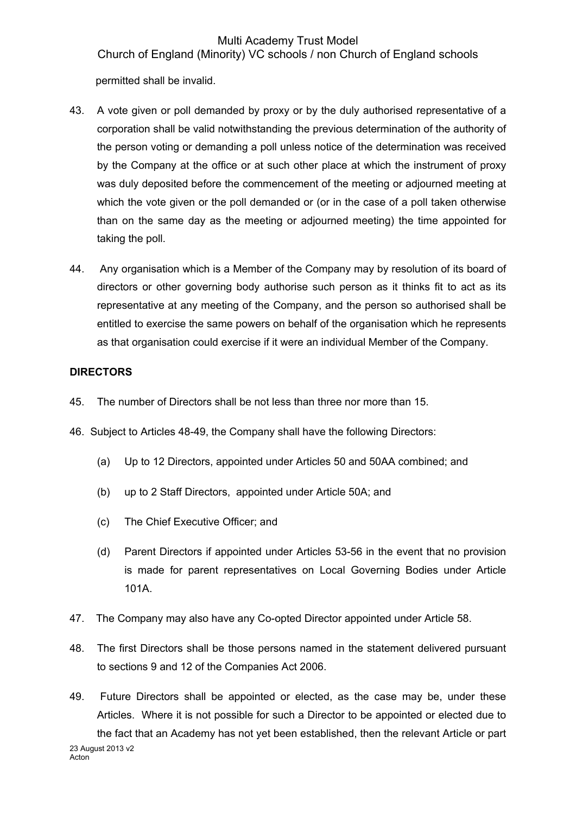Church of England (Minority) VC schools / non Church of England schools

permitted shall be invalid.

- 43. A vote given or poll demanded by proxy or by the duly authorised representative of a corporation shall be valid notwithstanding the previous determination of the authority of the person voting or demanding a poll unless notice of the determination was received by the Company at the office or at such other place at which the instrument of proxy was duly deposited before the commencement of the meeting or adjourned meeting at which the vote given or the poll demanded or (or in the case of a poll taken otherwise than on the same day as the meeting or adjourned meeting) the time appointed for taking the poll.
- 44. Any organisation which is a Member of the Company may by resolution of its board of directors or other governing body authorise such person as it thinks fit to act as its representative at any meeting of the Company, and the person so authorised shall be entitled to exercise the same powers on behalf of the organisation which he represents as that organisation could exercise if it were an individual Member of the Company.

# **DIRECTORS**

- 45. The number of Directors shall be not less than three nor more than 15.
- 46. Subject to Articles 48-49, the Company shall have the following Directors:
	- (a) Up to 12 Directors, appointed under Articles 50 and 50AA combined; and
	- (b) up to 2 Staff Directors, appointed under Article 50A; and
	- (c) The Chief Executive Officer; and
	- (d) Parent Directors if appointed under Articles 53-56 in the event that no provision is made for parent representatives on Local Governing Bodies under Article 101A.
- 47. The Company may also have any Co-opted Director appointed under Article 58.
- 48. The first Directors shall be those persons named in the statement delivered pursuant to sections 9 and 12 of the Companies Act 2006.
- 23 August 2013 v2 Acton<sup>1</sup> 49. Future Directors shall be appointed or elected, as the case may be, under these Articles. Where it is not possible for such a Director to be appointed or elected due to the fact that an Academy has not yet been established, then the relevant Article or part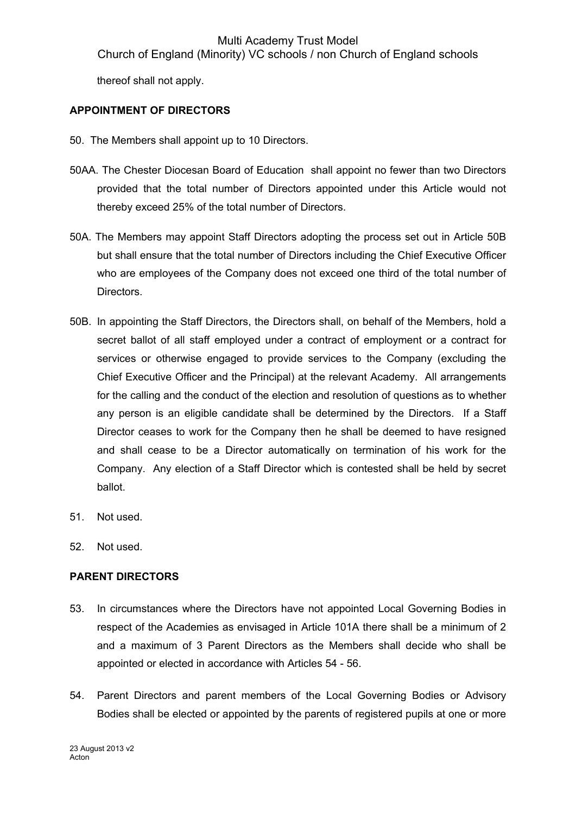Church of England (Minority) VC schools / non Church of England schools

thereof shall not apply.

# **APPOINTMENT OF DIRECTORS**

- 50. The Members shall appoint up to 10 Directors.
- 50AA. The Chester Diocesan Board of Education shall appoint no fewer than two Directors provided that the total number of Directors appointed under this Article would not thereby exceed 25% of the total number of Directors.
- 50A. The Members may appoint Staff Directors adopting the process set out in Article 50B but shall ensure that the total number of Directors including the Chief Executive Officer who are employees of the Company does not exceed one third of the total number of Directors.
- 50B. In appointing the Staff Directors, the Directors shall, on behalf of the Members, hold a secret ballot of all staff employed under a contract of employment or a contract for services or otherwise engaged to provide services to the Company (excluding the Chief Executive Officer and the Principal) at the relevant Academy. All arrangements for the calling and the conduct of the election and resolution of questions as to whether any person is an eligible candidate shall be determined by the Directors. If a Staff Director ceases to work for the Company then he shall be deemed to have resigned and shall cease to be a Director automatically on termination of his work for the Company. Any election of a Staff Director which is contested shall be held by secret ballot.
- 51. Not used.
- 52. Not used.

# **PARENT DIRECTORS**

- 53. In circumstances where the Directors have not appointed Local Governing Bodies in respect of the Academies as envisaged in Article 101A there shall be a minimum of 2 and a maximum of 3 Parent Directors as the Members shall decide who shall be appointed or elected in accordance with Articles 54 - 56.
- 54. Parent Directors and parent members of the Local Governing Bodies or Advisory Bodies shall be elected or appointed by the parents of registered pupils at one or more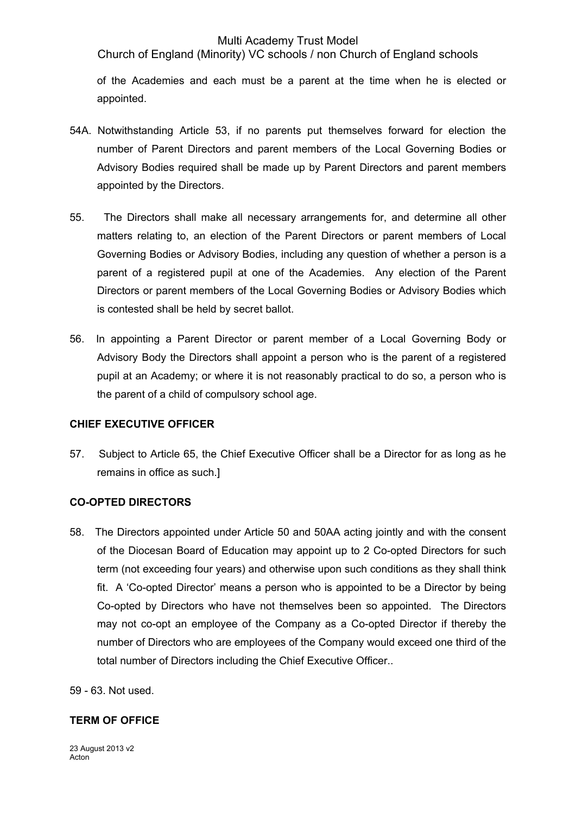Church of England (Minority) VC schools / non Church of England schools

of the Academies and each must be a parent at the time when he is elected or appointed.

- 54A. Notwithstanding Article 53, if no parents put themselves forward for election the number of Parent Directors and parent members of the Local Governing Bodies or Advisory Bodies required shall be made up by Parent Directors and parent members appointed by the Directors.
- 55. The Directors shall make all necessary arrangements for, and determine all other matters relating to, an election of the Parent Directors or parent members of Local Governing Bodies or Advisory Bodies, including any question of whether a person is a parent of a registered pupil at one of the Academies. Any election of the Parent Directors or parent members of the Local Governing Bodies or Advisory Bodies which is contested shall be held by secret ballot.
- 56. In appointing a Parent Director or parent member of a Local Governing Body or Advisory Body the Directors shall appoint a person who is the parent of a registered pupil at an Academy; or where it is not reasonably practical to do so, a person who is the parent of a child of compulsory school age.

# **CHIEF EXECUTIVE OFFICER**

57. Subject to Article 65, the Chief Executive Officer shall be a Director for as long as he remains in office as such.]

# **CO-OPTED DIRECTORS**

58. The Directors appointed under Article 50 and 50AA acting jointly and with the consent of the Diocesan Board of Education may appoint up to 2 Co-opted Directors for such term (not exceeding four years) and otherwise upon such conditions as they shall think fit. A 'Co-opted Director' means a person who is appointed to be a Director by being Co-opted by Directors who have not themselves been so appointed. The Directors may not co-opt an employee of the Company as a Co-opted Director if thereby the number of Directors who are employees of the Company would exceed one third of the total number of Directors including the Chief Executive Officer..

59 - 63. Not used.

#### **TERM OF OFFICE**

23 August 2013 v2 Acton<sup>1</sup>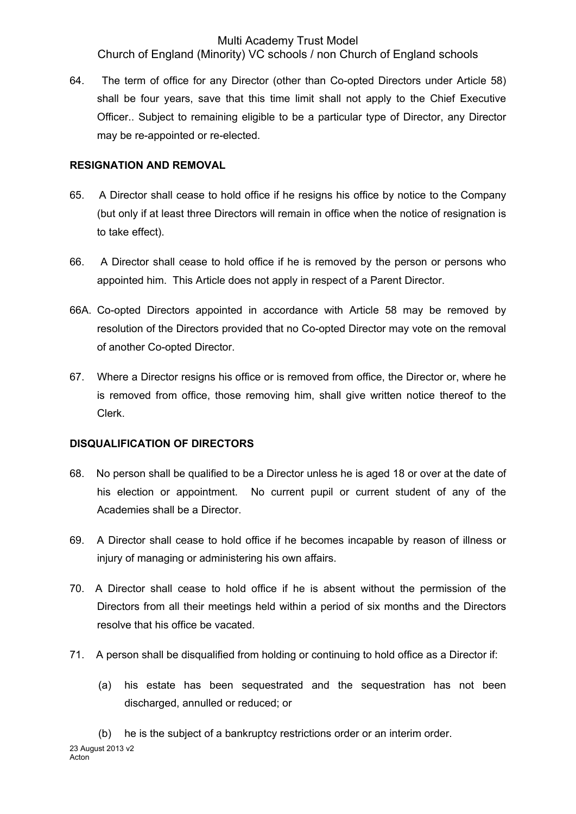Church of England (Minority) VC schools / non Church of England schools

64. The term of office for any Director (other than Co-opted Directors under Article 58) shall be four years, save that this time limit shall not apply to the Chief Executive Officer.. Subject to remaining eligible to be a particular type of Director, any Director may be re-appointed or re-elected.

## **RESIGNATION AND REMOVAL**

- 65. A Director shall cease to hold office if he resigns his office by notice to the Company (but only if at least three Directors will remain in office when the notice of resignation is to take effect).
- 66. A Director shall cease to hold office if he is removed by the person or persons who appointed him. This Article does not apply in respect of a Parent Director.
- 66A. Co-opted Directors appointed in accordance with Article 58 may be removed by resolution of the Directors provided that no Co-opted Director may vote on the removal of another Co-opted Director.
- 67. Where a Director resigns his office or is removed from office, the Director or, where he is removed from office, those removing him, shall give written notice thereof to the Clerk.

# **DISQUALIFICATION OF DIRECTORS**

- 68. No person shall be qualified to be a Director unless he is aged 18 or over at the date of his election or appointment. No current pupil or current student of any of the Academies shall be a Director.
- 69. A Director shall cease to hold office if he becomes incapable by reason of illness or injury of managing or administering his own affairs.
- 70. A Director shall cease to hold office if he is absent without the permission of the Directors from all their meetings held within a period of six months and the Directors resolve that his office be vacated.
- 71. A person shall be disqualified from holding or continuing to hold office as a Director if:
	- (a) his estate has been sequestrated and the sequestration has not been discharged, annulled or reduced; or
- 23 August 2013 v2 Acton (b) he is the subject of a bankruptcy restrictions order or an interim order.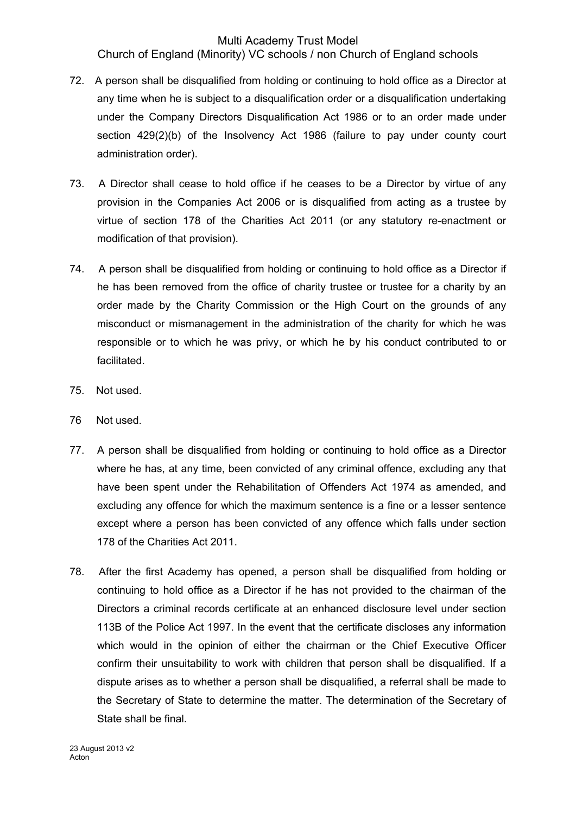Church of England (Minority) VC schools / non Church of England schools

- 72. A person shall be disqualified from holding or continuing to hold office as a Director at any time when he is subject to a disqualification order or a disqualification undertaking under the Company Directors Disqualification Act 1986 or to an order made under section 429(2)(b) of the Insolvency Act 1986 (failure to pay under county court administration order).
- 73. A Director shall cease to hold office if he ceases to be a Director by virtue of any provision in the Companies Act 2006 or is disqualified from acting as a trustee by virtue of section 178 of the Charities Act 2011 (or any statutory re-enactment or modification of that provision).
- 74. A person shall be disqualified from holding or continuing to hold office as a Director if he has been removed from the office of charity trustee or trustee for a charity by an order made by the Charity Commission or the High Court on the grounds of any misconduct or mismanagement in the administration of the charity for which he was responsible or to which he was privy, or which he by his conduct contributed to or facilitated.
- 75. Not used.
- 76 Not used.
- 77. A person shall be disqualified from holding or continuing to hold office as a Director where he has, at any time, been convicted of any criminal offence, excluding any that have been spent under the Rehabilitation of Offenders Act 1974 as amended, and excluding any offence for which the maximum sentence is a fine or a lesser sentence except where a person has been convicted of any offence which falls under section 178 of the Charities Act 2011.
- 78. After the first Academy has opened, a person shall be disqualified from holding or continuing to hold office as a Director if he has not provided to the chairman of the Directors a criminal records certificate at an enhanced disclosure level under section 113B of the Police Act 1997. In the event that the certificate discloses any information which would in the opinion of either the chairman or the Chief Executive Officer confirm their unsuitability to work with children that person shall be disqualified. If a dispute arises as to whether a person shall be disqualified, a referral shall be made to the Secretary of State to determine the matter. The determination of the Secretary of State shall be final.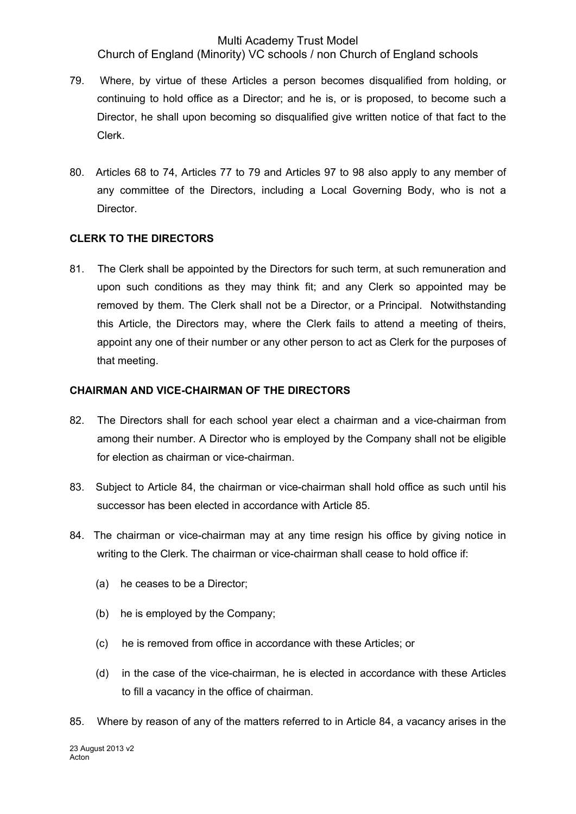Church of England (Minority) VC schools / non Church of England schools

- 79. Where, by virtue of these Articles a person becomes disqualified from holding, or continuing to hold office as a Director; and he is, or is proposed, to become such a Director, he shall upon becoming so disqualified give written notice of that fact to the Clerk.
- 80. Articles 68 to 74, Articles 77 to 79 and Articles 97 to 98 also apply to any member of any committee of the Directors, including a Local Governing Body, who is not a Director.

#### **CLERK TO THE DIRECTORS**

81. The Clerk shall be appointed by the Directors for such term, at such remuneration and upon such conditions as they may think fit; and any Clerk so appointed may be removed by them. The Clerk shall not be a Director, or a Principal. Notwithstanding this Article, the Directors may, where the Clerk fails to attend a meeting of theirs, appoint any one of their number or any other person to act as Clerk for the purposes of that meeting.

#### **CHAIRMAN AND VICE-CHAIRMAN OF THE DIRECTORS**

- 82. The Directors shall for each school year elect a chairman and a vice-chairman from among their number. A Director who is employed by the Company shall not be eligible for election as chairman or vice-chairman.
- 83. Subject to Article 84, the chairman or vice-chairman shall hold office as such until his successor has been elected in accordance with Article 85.
- 84. The chairman or vice-chairman may at any time resign his office by giving notice in writing to the Clerk. The chairman or vice-chairman shall cease to hold office if:
	- (a) he ceases to be a Director;
	- (b) he is employed by the Company;
	- (c) he is removed from office in accordance with these Articles; or
	- (d) in the case of the vice-chairman, he is elected in accordance with these Articles to fill a vacancy in the office of chairman.
- 85. Where by reason of any of the matters referred to in Article 84, a vacancy arises in the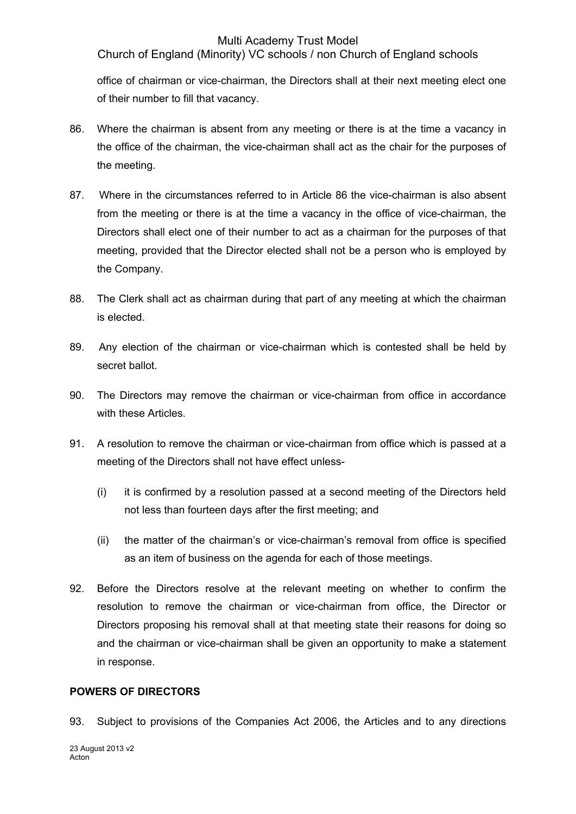Church of England (Minority) VC schools / non Church of England schools

office of chairman or vice-chairman, the Directors shall at their next meeting elect one of their number to fill that vacancy.

- 86. Where the chairman is absent from any meeting or there is at the time a vacancy in the office of the chairman, the vice-chairman shall act as the chair for the purposes of the meeting.
- 87. Where in the circumstances referred to in Article 86 the vice-chairman is also absent from the meeting or there is at the time a vacancy in the office of vice-chairman, the Directors shall elect one of their number to act as a chairman for the purposes of that meeting, provided that the Director elected shall not be a person who is employed by the Company.
- 88. The Clerk shall act as chairman during that part of any meeting at which the chairman is elected.
- 89. Any election of the chairman or vice-chairman which is contested shall be held by secret ballot.
- 90. The Directors may remove the chairman or vice-chairman from office in accordance with these Articles.
- 91. A resolution to remove the chairman or vice-chairman from office which is passed at a meeting of the Directors shall not have effect unless-
	- (i) it is confirmed by a resolution passed at a second meeting of the Directors held not less than fourteen days after the first meeting; and
	- (ii) the matter of the chairman's or vice-chairman's removal from office is specified as an item of business on the agenda for each of those meetings.
- 92. Before the Directors resolve at the relevant meeting on whether to confirm the resolution to remove the chairman or vice-chairman from office, the Director or Directors proposing his removal shall at that meeting state their reasons for doing so and the chairman or vice-chairman shall be given an opportunity to make a statement in response.

# **POWERS OF DIRECTORS**

93. Subject to provisions of the Companies Act 2006, the Articles and to any directions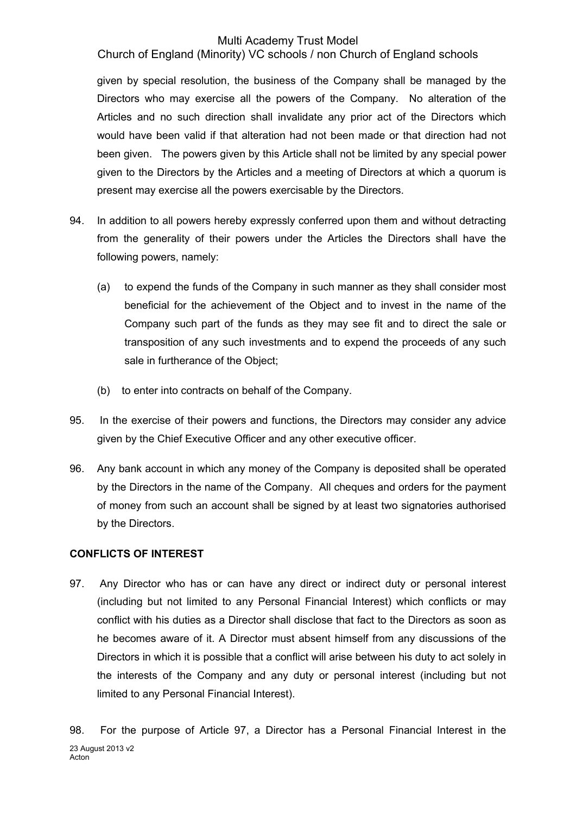Church of England (Minority) VC schools / non Church of England schools

given by special resolution, the business of the Company shall be managed by the Directors who may exercise all the powers of the Company. No alteration of the Articles and no such direction shall invalidate any prior act of the Directors which would have been valid if that alteration had not been made or that direction had not been given. The powers given by this Article shall not be limited by any special power given to the Directors by the Articles and a meeting of Directors at which a quorum is present may exercise all the powers exercisable by the Directors.

- 94. In addition to all powers hereby expressly conferred upon them and without detracting from the generality of their powers under the Articles the Directors shall have the following powers, namely:
	- (a) to expend the funds of the Company in such manner as they shall consider most beneficial for the achievement of the Object and to invest in the name of the Company such part of the funds as they may see fit and to direct the sale or transposition of any such investments and to expend the proceeds of any such sale in furtherance of the Object;
	- (b) to enter into contracts on behalf of the Company.
- 95. In the exercise of their powers and functions, the Directors may consider any advice given by the Chief Executive Officer and any other executive officer.
- 96. Any bank account in which any money of the Company is deposited shall be operated by the Directors in the name of the Company. All cheques and orders for the payment of money from such an account shall be signed by at least two signatories authorised by the Directors.

# **CONFLICTS OF INTEREST**

97. Any Director who has or can have any direct or indirect duty or personal interest (including but not limited to any Personal Financial Interest) which conflicts or may conflict with his duties as a Director shall disclose that fact to the Directors as soon as he becomes aware of it. A Director must absent himself from any discussions of the Directors in which it is possible that a conflict will arise between his duty to act solely in the interests of the Company and any duty or personal interest (including but not limited to any Personal Financial Interest).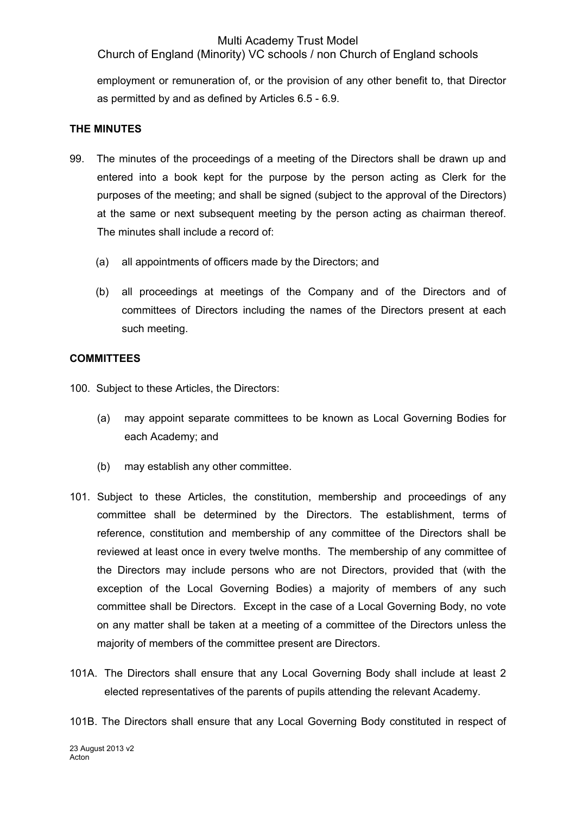Church of England (Minority) VC schools / non Church of England schools

employment or remuneration of, or the provision of any other benefit to, that Director as permitted by and as defined by Articles 6.5 - 6.9.

# **THE MINUTES**

- 99. The minutes of the proceedings of a meeting of the Directors shall be drawn up and entered into a book kept for the purpose by the person acting as Clerk for the purposes of the meeting; and shall be signed (subject to the approval of the Directors) at the same or next subsequent meeting by the person acting as chairman thereof. The minutes shall include a record of:
	- (a) all appointments of officers made by the Directors; and
	- (b) all proceedings at meetings of the Company and of the Directors and of committees of Directors including the names of the Directors present at each such meeting.

#### **COMMITTEES**

100. Subject to these Articles, the Directors:

- (a) may appoint separate committees to be known as Local Governing Bodies for each Academy; and
- (b) may establish any other committee.
- 101. Subject to these Articles, the constitution, membership and proceedings of any committee shall be determined by the Directors. The establishment, terms of reference, constitution and membership of any committee of the Directors shall be reviewed at least once in every twelve months. The membership of any committee of the Directors may include persons who are not Directors, provided that (with the exception of the Local Governing Bodies) a majority of members of any such committee shall be Directors. Except in the case of a Local Governing Body, no vote on any matter shall be taken at a meeting of a committee of the Directors unless the majority of members of the committee present are Directors.
- 101A. The Directors shall ensure that any Local Governing Body shall include at least 2 elected representatives of the parents of pupils attending the relevant Academy.
- 101B. The Directors shall ensure that any Local Governing Body constituted in respect of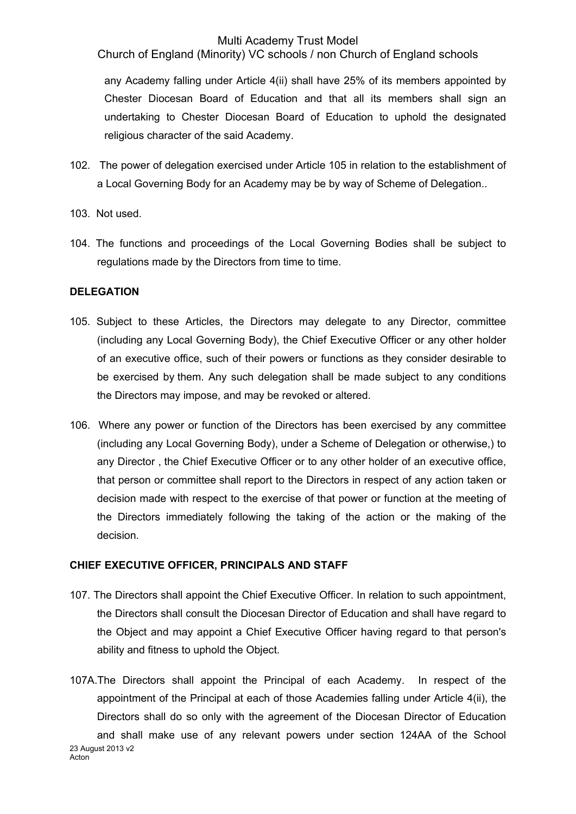Church of England (Minority) VC schools / non Church of England schools

any Academy falling under Article 4(ii) shall have 25% of its members appointed by Chester Diocesan Board of Education and that all its members shall sign an undertaking to Chester Diocesan Board of Education to uphold the designated religious character of the said Academy.

- 102. The power of delegation exercised under Article 105 in relation to the establishment of a Local Governing Body for an Academy may be by way of Scheme of Delegation..
- 103. Not used.
- 104. The functions and proceedings of the Local Governing Bodies shall be subject to regulations made by the Directors from time to time.

#### **DELEGATION**

- 105. Subject to these Articles, the Directors may delegate to any Director, committee (including any Local Governing Body), the Chief Executive Officer or any other holder of an executive office, such of their powers or functions as they consider desirable to be exercised by them. Any such delegation shall be made subject to any conditions the Directors may impose, and may be revoked or altered.
- 106. Where any power or function of the Directors has been exercised by any committee (including any Local Governing Body), under a Scheme of Delegation or otherwise,) to any Director , the Chief Executive Officer or to any other holder of an executive office, that person or committee shall report to the Directors in respect of any action taken or decision made with respect to the exercise of that power or function at the meeting of the Directors immediately following the taking of the action or the making of the decision.

# **CHIEF EXECUTIVE OFFICER, PRINCIPALS AND STAFF**

- 107. The Directors shall appoint the Chief Executive Officer. In relation to such appointment, the Directors shall consult the Diocesan Director of Education and shall have regard to the Object and may appoint a Chief Executive Officer having regard to that person's ability and fitness to uphold the Object.
- 23 August 2013 v2 107A.The Directors shall appoint the Principal of each Academy. In respect of the appointment of the Principal at each of those Academies falling under Article 4(ii), the Directors shall do so only with the agreement of the Diocesan Director of Education and shall make use of any relevant powers under section 124AA of the School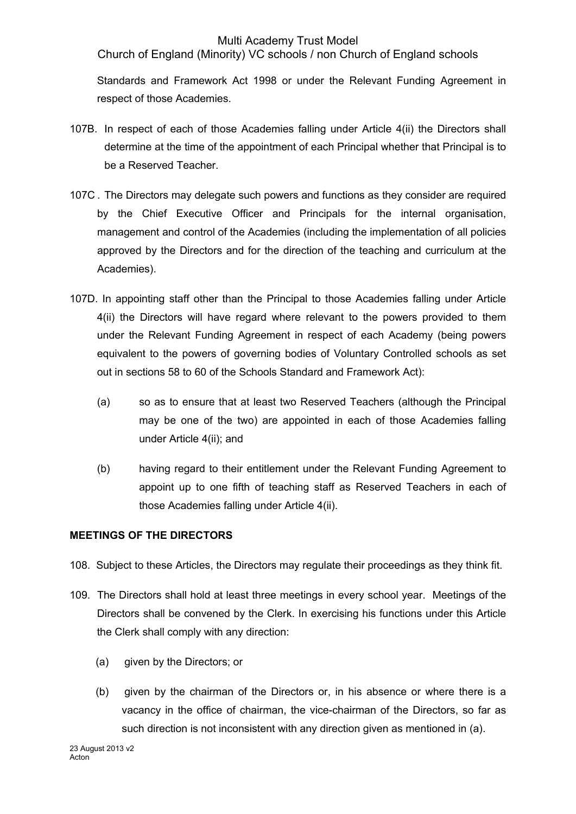Church of England (Minority) VC schools / non Church of England schools

Standards and Framework Act 1998 or under the Relevant Funding Agreement in respect of those Academies.

- 107B. In respect of each of those Academies falling under Article 4(ii) the Directors shall determine at the time of the appointment of each Principal whether that Principal is to be a Reserved Teacher.
- 107C . The Directors may delegate such powers and functions as they consider are required by the Chief Executive Officer and Principals for the internal organisation, management and control of the Academies (including the implementation of all policies approved by the Directors and for the direction of the teaching and curriculum at the Academies).
- 107D. In appointing staff other than the Principal to those Academies falling under Article 4(ii) the Directors will have regard where relevant to the powers provided to them under the Relevant Funding Agreement in respect of each Academy (being powers equivalent to the powers of governing bodies of Voluntary Controlled schools as set out in sections 58 to 60 of the Schools Standard and Framework Act):
	- (a) so as to ensure that at least two Reserved Teachers (although the Principal may be one of the two) are appointed in each of those Academies falling under Article 4(ii); and
	- (b) having regard to their entitlement under the Relevant Funding Agreement to appoint up to one fifth of teaching staff as Reserved Teachers in each of those Academies falling under Article 4(ii).

# **MEETINGS OF THE DIRECTORS**

- 108. Subject to these Articles, the Directors may regulate their proceedings as they think fit.
- 109. The Directors shall hold at least three meetings in every school year. Meetings of the Directors shall be convened by the Clerk. In exercising his functions under this Article the Clerk shall comply with any direction:
	- (a) given by the Directors; or
	- (b) given by the chairman of the Directors or, in his absence or where there is a vacancy in the office of chairman, the vice-chairman of the Directors, so far as such direction is not inconsistent with any direction given as mentioned in (a).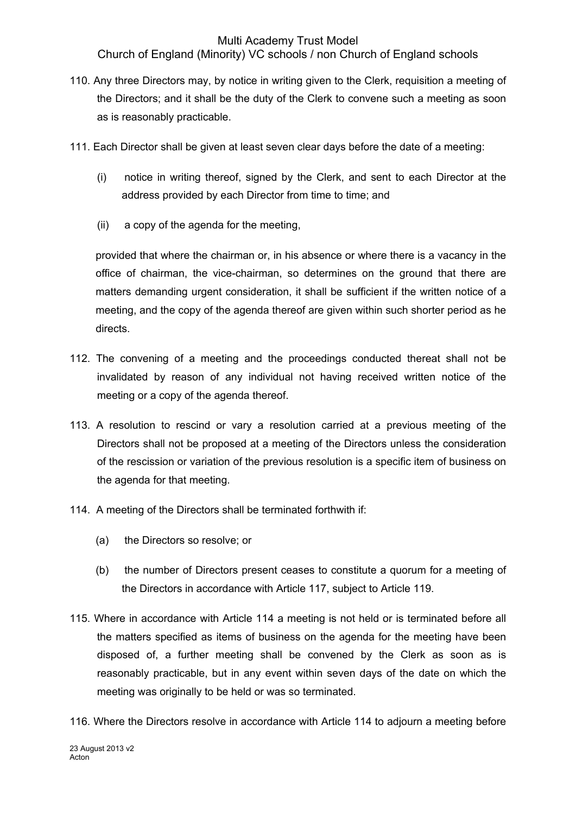Church of England (Minority) VC schools / non Church of England schools

- 110. Any three Directors may, by notice in writing given to the Clerk, requisition a meeting of the Directors; and it shall be the duty of the Clerk to convene such a meeting as soon as is reasonably practicable.
- 111. Each Director shall be given at least seven clear days before the date of a meeting:
	- (i) notice in writing thereof, signed by the Clerk, and sent to each Director at the address provided by each Director from time to time; and
	- (ii) a copy of the agenda for the meeting,

provided that where the chairman or, in his absence or where there is a vacancy in the office of chairman, the vice-chairman, so determines on the ground that there are matters demanding urgent consideration, it shall be sufficient if the written notice of a meeting, and the copy of the agenda thereof are given within such shorter period as he directs.

- 112. The convening of a meeting and the proceedings conducted thereat shall not be invalidated by reason of any individual not having received written notice of the meeting or a copy of the agenda thereof.
- 113. A resolution to rescind or vary a resolution carried at a previous meeting of the Directors shall not be proposed at a meeting of the Directors unless the consideration of the rescission or variation of the previous resolution is a specific item of business on the agenda for that meeting.
- 114. A meeting of the Directors shall be terminated forthwith if:
	- (a) the Directors so resolve; or
	- (b) the number of Directors present ceases to constitute a quorum for a meeting of the Directors in accordance with Article 117, subject to Article 119.
- 115. Where in accordance with Article 114 a meeting is not held or is terminated before all the matters specified as items of business on the agenda for the meeting have been disposed of, a further meeting shall be convened by the Clerk as soon as is reasonably practicable, but in any event within seven days of the date on which the meeting was originally to be held or was so terminated.
- 116. Where the Directors resolve in accordance with Article 114 to adjourn a meeting before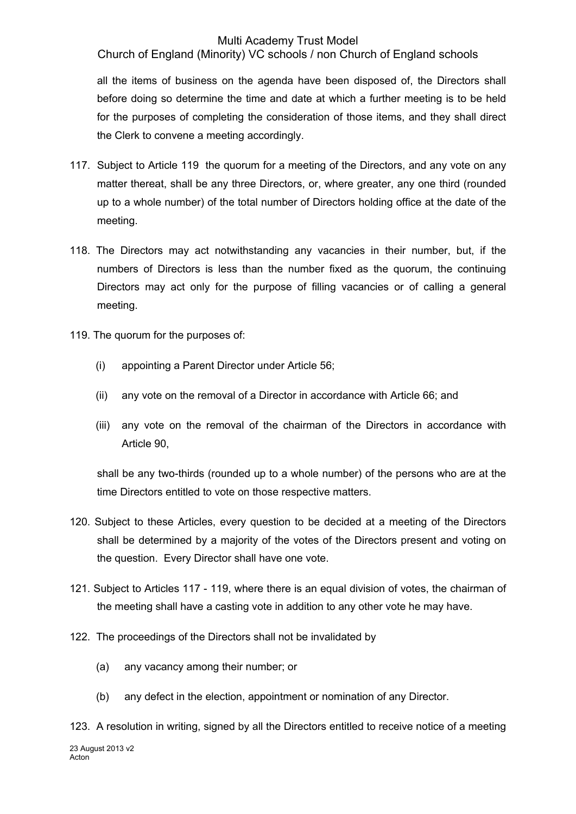Church of England (Minority) VC schools / non Church of England schools

all the items of business on the agenda have been disposed of, the Directors shall before doing so determine the time and date at which a further meeting is to be held for the purposes of completing the consideration of those items, and they shall direct the Clerk to convene a meeting accordingly.

- 117. Subject to Article 119 the quorum for a meeting of the Directors, and any vote on any matter thereat, shall be any three Directors, or, where greater, any one third (rounded up to a whole number) of the total number of Directors holding office at the date of the meeting.
- 118. The Directors may act notwithstanding any vacancies in their number, but, if the numbers of Directors is less than the number fixed as the quorum, the continuing Directors may act only for the purpose of filling vacancies or of calling a general meeting.
- 119. The quorum for the purposes of:
	- (i) appointing a Parent Director under Article 56;
	- (ii) any vote on the removal of a Director in accordance with Article 66; and
	- (iii) any vote on the removal of the chairman of the Directors in accordance with Article 90,

shall be any two-thirds (rounded up to a whole number) of the persons who are at the time Directors entitled to vote on those respective matters.

- 120. Subject to these Articles, every question to be decided at a meeting of the Directors shall be determined by a majority of the votes of the Directors present and voting on the question. Every Director shall have one vote.
- 121. Subject to Articles 117 119, where there is an equal division of votes, the chairman of the meeting shall have a casting vote in addition to any other vote he may have.
- 122. The proceedings of the Directors shall not be invalidated by
	- (a) any vacancy among their number; or
	- (b) any defect in the election, appointment or nomination of any Director.
- 23 August 2013 v2 Acton<sup>1</sup> 123. A resolution in writing, signed by all the Directors entitled to receive notice of a meeting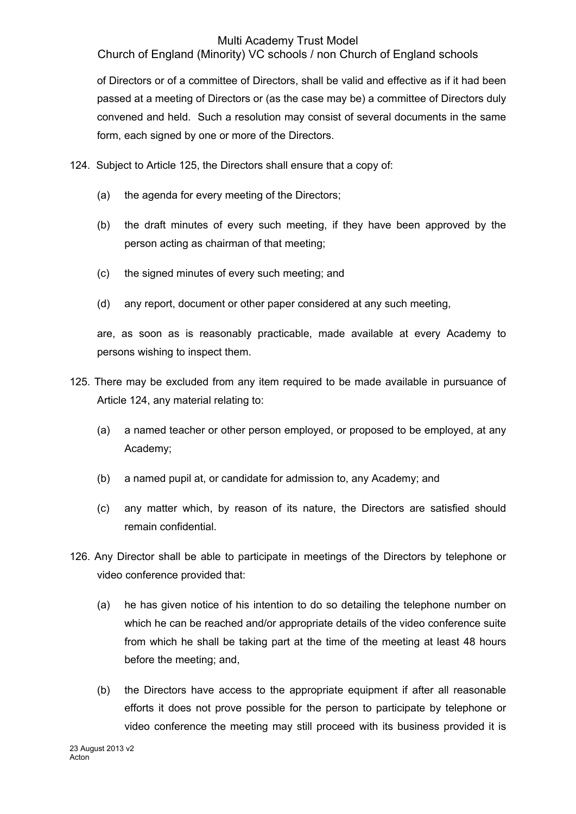Church of England (Minority) VC schools / non Church of England schools

of Directors or of a committee of Directors, shall be valid and effective as if it had been passed at a meeting of Directors or (as the case may be) a committee of Directors duly convened and held. Such a resolution may consist of several documents in the same form, each signed by one or more of the Directors.

- 124. Subject to Article 125, the Directors shall ensure that a copy of:
	- (a) the agenda for every meeting of the Directors;
	- (b) the draft minutes of every such meeting, if they have been approved by the person acting as chairman of that meeting;
	- (c) the signed minutes of every such meeting; and
	- (d) any report, document or other paper considered at any such meeting,

are, as soon as is reasonably practicable, made available at every Academy to persons wishing to inspect them.

- 125. There may be excluded from any item required to be made available in pursuance of Article 124, any material relating to:
	- (a) a named teacher or other person employed, or proposed to be employed, at any Academy;
	- (b) a named pupil at, or candidate for admission to, any Academy; and
	- (c) any matter which, by reason of its nature, the Directors are satisfied should remain confidential.
- 126. Any Director shall be able to participate in meetings of the Directors by telephone or video conference provided that:
	- (a) he has given notice of his intention to do so detailing the telephone number on which he can be reached and/or appropriate details of the video conference suite from which he shall be taking part at the time of the meeting at least 48 hours before the meeting; and,
	- (b) the Directors have access to the appropriate equipment if after all reasonable efforts it does not prove possible for the person to participate by telephone or video conference the meeting may still proceed with its business provided it is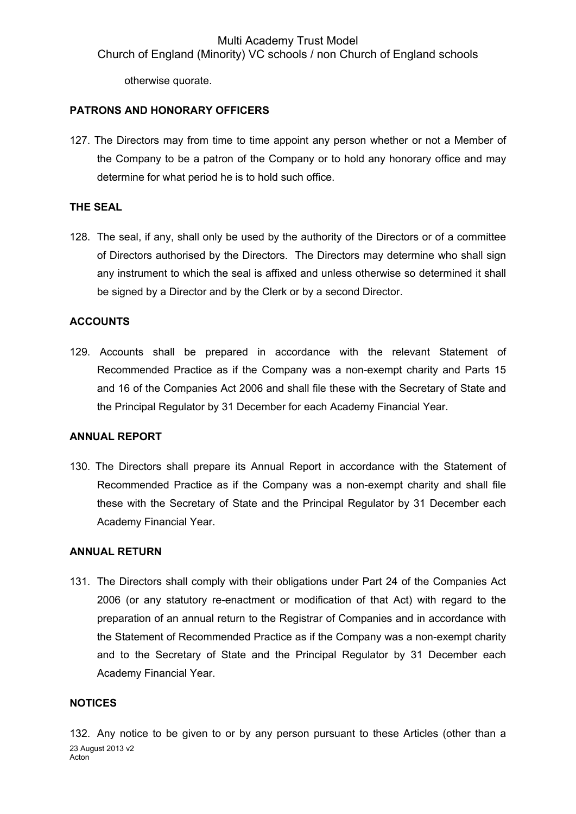otherwise quorate.

#### **PATRONS AND HONORARY OFFICERS**

127. The Directors may from time to time appoint any person whether or not a Member of the Company to be a patron of the Company or to hold any honorary office and may determine for what period he is to hold such office.

#### **THE SEAL**

128. The seal, if any, shall only be used by the authority of the Directors or of a committee of Directors authorised by the Directors. The Directors may determine who shall sign any instrument to which the seal is affixed and unless otherwise so determined it shall be signed by a Director and by the Clerk or by a second Director.

#### **ACCOUNTS**

129. Accounts shall be prepared in accordance with the relevant Statement of Recommended Practice as if the Company was a non-exempt charity and Parts 15 and 16 of the Companies Act 2006 and shall file these with the Secretary of State and the Principal Regulator by 31 December for each Academy Financial Year.

#### **ANNUAL REPORT**

130. The Directors shall prepare its Annual Report in accordance with the Statement of Recommended Practice as if the Company was a non-exempt charity and shall file these with the Secretary of State and the Principal Regulator by 31 December each Academy Financial Year.

#### **ANNUAL RETURN**

131. The Directors shall comply with their obligations under Part 24 of the Companies Act 2006 (or any statutory re-enactment or modification of that Act) with regard to the preparation of an annual return to the Registrar of Companies and in accordance with the Statement of Recommended Practice as if the Company was a non-exempt charity and to the Secretary of State and the Principal Regulator by 31 December each Academy Financial Year.

#### **NOTICES**

23 August 2013 v2 Acton<sup>1</sup> 132. Any notice to be given to or by any person pursuant to these Articles (other than a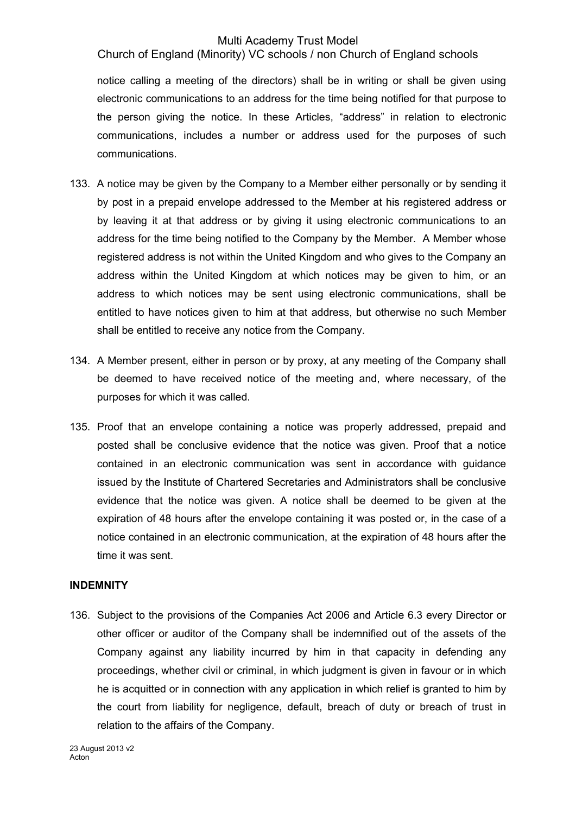Church of England (Minority) VC schools / non Church of England schools

notice calling a meeting of the directors) shall be in writing or shall be given using electronic communications to an address for the time being notified for that purpose to the person giving the notice. In these Articles, "address" in relation to electronic communications, includes a number or address used for the purposes of such communications.

- 133. A notice may be given by the Company to a Member either personally or by sending it by post in a prepaid envelope addressed to the Member at his registered address or by leaving it at that address or by giving it using electronic communications to an address for the time being notified to the Company by the Member. A Member whose registered address is not within the United Kingdom and who gives to the Company an address within the United Kingdom at which notices may be given to him, or an address to which notices may be sent using electronic communications, shall be entitled to have notices given to him at that address, but otherwise no such Member shall be entitled to receive any notice from the Company.
- 134. A Member present, either in person or by proxy, at any meeting of the Company shall be deemed to have received notice of the meeting and, where necessary, of the purposes for which it was called.
- 135. Proof that an envelope containing a notice was properly addressed, prepaid and posted shall be conclusive evidence that the notice was given. Proof that a notice contained in an electronic communication was sent in accordance with guidance issued by the Institute of Chartered Secretaries and Administrators shall be conclusive evidence that the notice was given. A notice shall be deemed to be given at the expiration of 48 hours after the envelope containing it was posted or, in the case of a notice contained in an electronic communication, at the expiration of 48 hours after the time it was sent.

# **INDEMNITY**

136. Subject to the provisions of the Companies Act 2006 and Article 6.3 every Director or other officer or auditor of the Company shall be indemnified out of the assets of the Company against any liability incurred by him in that capacity in defending any proceedings, whether civil or criminal, in which judgment is given in favour or in which he is acquitted or in connection with any application in which relief is granted to him by the court from liability for negligence, default, breach of duty or breach of trust in relation to the affairs of the Company.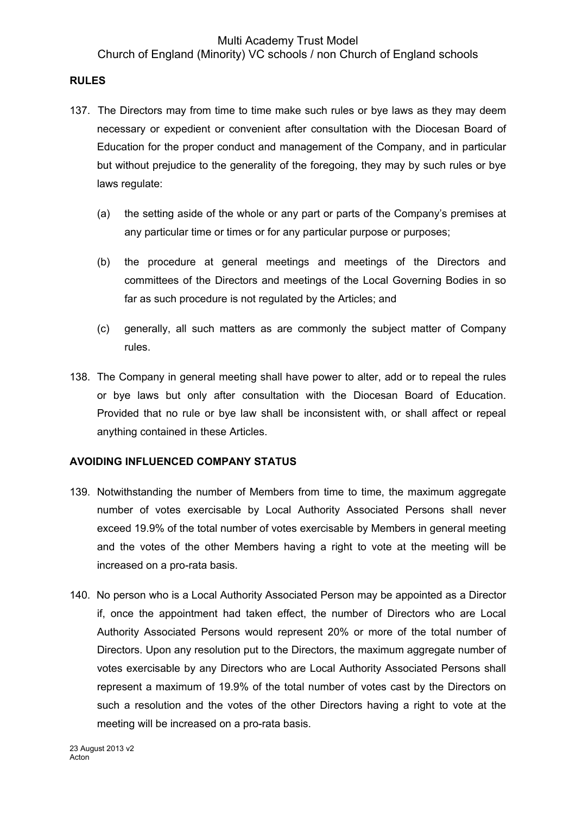Church of England (Minority) VC schools / non Church of England schools

## **RULES**

- 137. The Directors may from time to time make such rules or bye laws as they may deem necessary or expedient or convenient after consultation with the Diocesan Board of Education for the proper conduct and management of the Company, and in particular but without prejudice to the generality of the foregoing, they may by such rules or bye laws regulate:
	- (a) the setting aside of the whole or any part or parts of the Company's premises at any particular time or times or for any particular purpose or purposes;
	- (b) the procedure at general meetings and meetings of the Directors and committees of the Directors and meetings of the Local Governing Bodies in so far as such procedure is not regulated by the Articles; and
	- (c) generally, all such matters as are commonly the subject matter of Company rules.
- 138. The Company in general meeting shall have power to alter, add or to repeal the rules or bye laws but only after consultation with the Diocesan Board of Education. Provided that no rule or bye law shall be inconsistent with, or shall affect or repeal anything contained in these Articles.

# **AVOIDING INFLUENCED COMPANY STATUS**

- 139. Notwithstanding the number of Members from time to time, the maximum aggregate number of votes exercisable by Local Authority Associated Persons shall never exceed 19.9% of the total number of votes exercisable by Members in general meeting and the votes of the other Members having a right to vote at the meeting will be increased on a pro-rata basis.
- 140. No person who is a Local Authority Associated Person may be appointed as a Director if, once the appointment had taken effect, the number of Directors who are Local Authority Associated Persons would represent 20% or more of the total number of Directors. Upon any resolution put to the Directors, the maximum aggregate number of votes exercisable by any Directors who are Local Authority Associated Persons shall represent a maximum of 19.9% of the total number of votes cast by the Directors on such a resolution and the votes of the other Directors having a right to vote at the meeting will be increased on a pro-rata basis.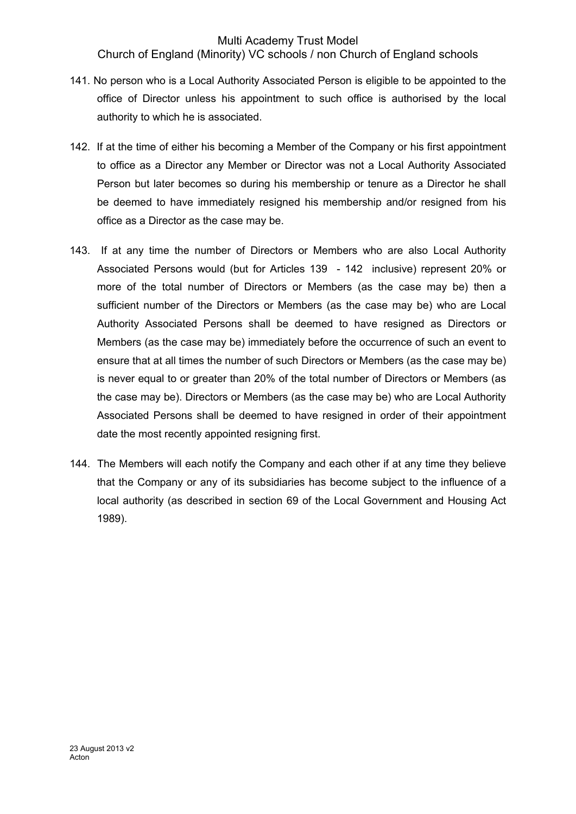Church of England (Minority) VC schools / non Church of England schools

- 141. No person who is a Local Authority Associated Person is eligible to be appointed to the office of Director unless his appointment to such office is authorised by the local authority to which he is associated.
- 142. If at the time of either his becoming a Member of the Company or his first appointment to office as a Director any Member or Director was not a Local Authority Associated Person but later becomes so during his membership or tenure as a Director he shall be deemed to have immediately resigned his membership and/or resigned from his office as a Director as the case may be.
- 143. If at any time the number of Directors or Members who are also Local Authority Associated Persons would (but for Articles 139 - 142 inclusive) represent 20% or more of the total number of Directors or Members (as the case may be) then a sufficient number of the Directors or Members (as the case may be) who are Local Authority Associated Persons shall be deemed to have resigned as Directors or Members (as the case may be) immediately before the occurrence of such an event to ensure that at all times the number of such Directors or Members (as the case may be) is never equal to or greater than 20% of the total number of Directors or Members (as the case may be). Directors or Members (as the case may be) who are Local Authority Associated Persons shall be deemed to have resigned in order of their appointment date the most recently appointed resigning first.
- 144. The Members will each notify the Company and each other if at any time they believe that the Company or any of its subsidiaries has become subject to the influence of a local authority (as described in section 69 of the Local Government and Housing Act 1989).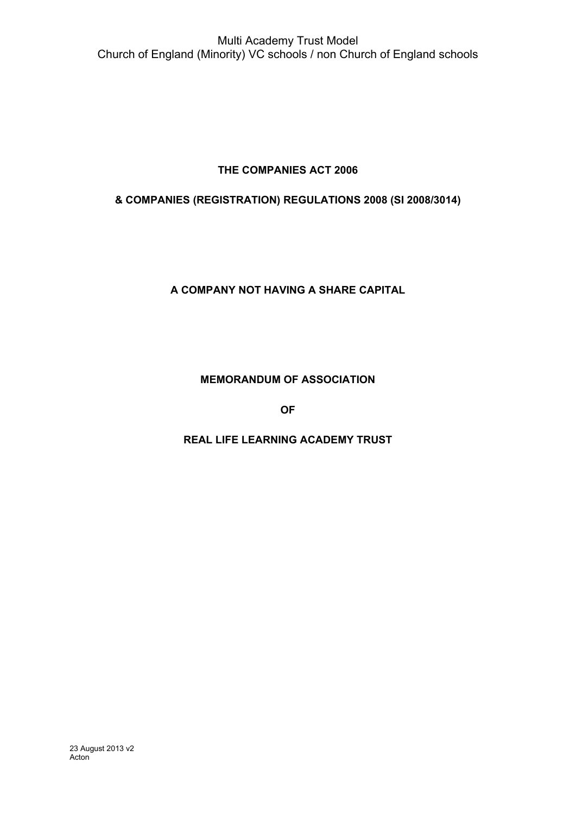# **THE COMPANIES ACT 2006**

# **& COMPANIES (REGISTRATION) REGULATIONS 2008 (SI 2008/3014)**

# **A COMPANY NOT HAVING A SHARE CAPITAL**

# **MEMORANDUM OF ASSOCIATION**

**OF**

# **REAL LIFE LEARNING ACADEMY TRUST**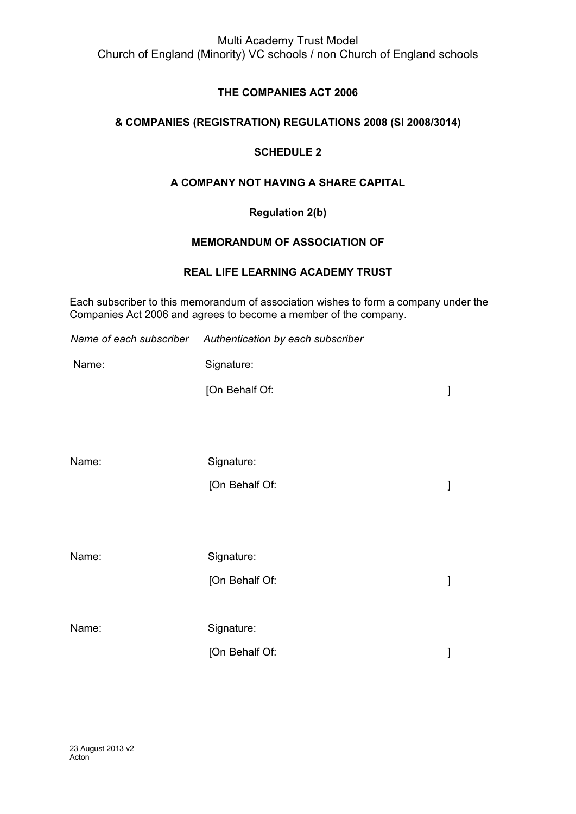# **THE COMPANIES ACT 2006**

# **& COMPANIES (REGISTRATION) REGULATIONS 2008 (SI 2008/3014)**

## **SCHEDULE 2**

# **A COMPANY NOT HAVING A SHARE CAPITAL**

# **Regulation 2(b)**

#### **MEMORANDUM OF ASSOCIATION OF**

#### **REAL LIFE LEARNING ACADEMY TRUST**

Each subscriber to this memorandum of association wishes to form a company under the [Companies](http://w3.lexis.com/uk/legal/search/runRemoteLink.do?service=citation&langcountry=GB&risb=21_T7301337871&A=0.9967462013224926&linkInfo=F%23GB%23UK_ACTS%23num%252006_46a_Title%25&bct=A) Act 2006 and agrees to become a member of the company.

*Name of each subscriber Authentication by each subscriber*

| Name: | Signature:     |   |
|-------|----------------|---|
|       | [On Behalf Of: | ] |
|       |                |   |
| Name: | Signature:     |   |
|       | [On Behalf Of: | ] |
|       |                |   |
| Name: | Signature:     |   |
|       | [On Behalf Of: | 1 |
|       |                |   |
| Name: | Signature:     |   |
|       | [On Behalf Of: | l |